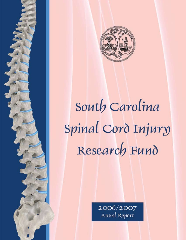

# South Carolina Spinal Cord Injury Research Fund

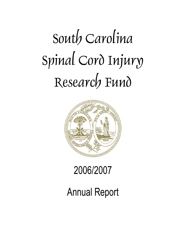# South Carolina Spinal Cord Injury Research Fund



# 2006/2007

# Annual Report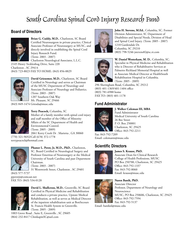# South Carolina Spinal Cord Injury Research Fund

# **Board of Directors**



**Brian G. Cuddy, M.D.**, Charleston, SC Board Certified Neurosurgeon in private practice, Clinical Associate Professor of Neurosurgery at MUSC, and directly involved in establishing the Spinal Cord Injury Research Fund. (Term: 2003 - 2007) Charleston Neurological Associates, L.L.C.

2145 Henry Tecklenbug Drive, Suite 220 Charleston , SC 29414 (843) 723-8823 FAX TO HOME: (843) 856-8829



**David Griesemer, M.D.**, Charleston, SC Board Certified in Neurology and serves as Chairman of the MUSC Department of Neurology and Associate Professor of Neurology and Pediatrics. (Term: 2003 - 2007) 1207 Southern Oak Way Mt. Pleasant, SC 29466

(843) 849-1474 Griesda@musc.edu



**Terry Peacock,** Columbia, SC Mother of a family member with spinal cord injury and staff member of the Office of Minority Affairs of the SC Department of Health and Environmental Control. (Term: 2005 - 2009) 2061 Kerry Creek Dr . Marietta , GA 30060

(770) 321-9692/Cell (678) 372-1778 terrypeacock@hotmail.com



**Phanor L. Perot, Jr, M.D., PhD.**, Charleston, SC. Board Certified in Neurological Surgery and Professor Emeritus of Neurosurgery at the Medical University of South Carolina and past Department Chairman. (Term: 2003 - 2007)

31 Wentworth Street, Charleston , SC 29401

(843) 577-5737 pperotjr@comcast.net FAX TO: (843) 534-0120



**David L. Shallcross, M.D.**, Greenville, SC Board Certified in Physical Medicine and Rehabilitation and conducts a private practice, Upstate Medical Rehabilitation, as well as serves as Medical Director of the inpatient rehabilitation unit at BonSecours St. Francis Health System in Greenville. (Term: 2005 - 2009)

1003 Grove Road , Suite E, Greenville , SC 29605 (864) 232-8417 ChinkapinSC@aol.com



**John H. Stevens, M.Ed.**, Columbia, SC. Former Division Administrator, SC Department of Disabilities and Special Needs, Division of Head and Spinal Cord Injury. (Term: 2005 - 2007) 1210 Gardendale Dr. Columbia, SC 29210 (803) 798-5246 jstevens82@sc.rr.com



**W. Daniel Westerkam, M. D.**, Columbia, SC. Specialist in Physical Medicine and Rehabilitation who is Director of Rehabilitative Services at Palmetto Richland Memorial Hospital as well as Associate Medical Director at HealthSouth Rehabilitation Hospital in Columbia. (Term: 2005 - 2009)

296 Sheringham Road, Columbia, SC 29212 (803) 401-1369/401-1404 office (803) 781-6988 home FAX TO: (803) 401-1178

# **Fund Administrator**



**J. Walker Coleman III, MBA** Fund Administrator Medical University of South Carolina 26 Bee Street P. O. Box 250001 Charleston, SC 29425 Office: 843-792-2211

Fax: 843-792-7209 Email: colemanw@musc.edu

# **Scientific Directors**



#### **James S. Krause, PhD.**

Associate Dean for Clinical Research College of Health Professions, MUSC PO Box 250700, Charleston, SC 29425 Office: 843-792-1337 Fax: 843-792-8060 Email: krause@musc.edu



**Naren Banik, PhD.**  Associate Director Professor, Department of Neurology and Neuroscience MUSC, PO Box 250606, Charleston, SC 29425 Office: 843-792-7594 Fax: 843-792-5137

Email: baniknl@musc.edu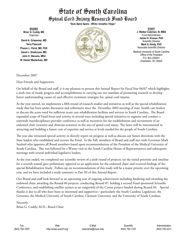# State of South Carolina Spinal Cord Injury Research Fund Board

**BOARD Brian G. Cuddy, MD** Chairman

**David A. Griesemer, MD Terry Peacock Phanor L. Perot, MD, PhD David L. Shallcross, MD John H. Stevens, MEd W. Daniel Westerkam, MD** **"Dum Spiro Spero - While I breathe I Hope"**



**STAFF J. Walker Coleman, III, MBA** Fund Administrator **James S. Krause, PhD** Scientific Director **Mark S. Kindy, PhD** Associate Scientific Director

Medical University of South Carolina Office of the President P.O. Box 250001 Charleston, SC 29425

December 2007

Dear Friends and Supporters;

On behalf of the Board and staff, it is my pleasure to present this Annual Report for Fiscal Year 06/07 which highlights a sixth year of steady progress and accomplishment in carrying out our mandate of promoting research to develop better understanding causes of, and effective treatment strategies for, spinal cord injuries.

As the year started, we implements a fifth round of research studies and initiatives as well as the special rehabilitation study that has been under discussion and refinement since the December 2003 meeting of state health care leaders to discuss the acute need for sufficient acute care rehabilitation facilities and services in South Carolina. The Board expanded scope of Fund focus and activity in several ways including special initiatives to organize and conduct a statewide interdisciplinary provider conference as well as incentives for the establishment and recruitment of an endowed chair (scientist and clinician-scientist) in the area of spinal cord injury. The latter will be instrumental in attracting and building a future core of expertise and service at levels needed for the people of South Carolina.

The year also witnessed special activity to directly report on progress as well as discuss our future directions with the State leaders who established and oversee the Fund. In the Fall, members of Board and staff met with Governor Mark Sanford who appoints all Board members based upon recommendations of the President of the Medical University of South Carolina. This was followed by a Winter visit to the South Carolina House of Representatives and subsequent meetings with several individual legislative leaders.

As the year ended, we completed our scientific review of a sixth round of projects; set the initial priorities and timeline for a seventh round; gave preliminary approval to an application for the endowed chair; and received findings of the special Rehabilitation Study. Follow-up on recommendations of this study will be a major priority over the upcoming year, and we have included a study summary in Part III of this Annual Report.

Our Board and staff look forward to an upcoming year of ongoing achievement including finalizing and awarding the endowed chair; awarding the Round 06 projects; conducting Round 07; holding a second Fund sponsored Scientific Conference; and establishing satellite centers as an outgrowth of the Center project funded during Round 04. Special thanks is due to all who have been so interested and supportive—particularly the South Carolina Legislature, the Governor, the Medical University of South Carolina, Clemson University, and the University of South Carolina.

Sincerely, Brian G. Cuddy, M.D., Board Chair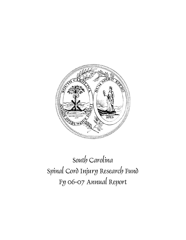

# South Carolina Spinal Cord Injury Research Fund Fy 06-07 Annual Report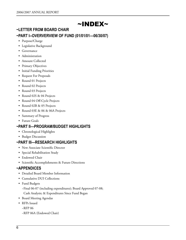# ~INDEX~

# **~LETTER FROM BOARD CHAIR ~PART I--OVERVERVIEW OF FUND (01/01/01—06/30/07)**

- • Purpose/Charge
- • Legislative Background
- • Governance
- Administration
- Amount Collected
- • Primary Objectives
- • Initial Funding Priorities
- Request For Proposals
- Round 01 Projects
- Round 02 Projects
- Round 03 Projects
- Round 02S & 04 Projects
- • Round 04 Off-Cycle Projects
- Round 02B & 05 Projects
- Round 03E & 06 & 06A Projects
- • Summary of Progress
- Future Goals

# **~PART II—PROGRAM/BUDGET HIGHLIGHTS**

- • Chronological Highlights
- • Budget Discussion

# **~PART III—RESEARCH HIGHLIGHTS**

- New Associate Scientific Director
- • Special Rehabilitation Study
- Endowed Chair
- • Scientific Accomplishments & Future Directions

# **~APPENDICES**

- • Detailed Board Member Information
- • Cumulative DUI Collections
- • Fund Budgets
	- ~Final 06-07 (including expenditures); Board Approved 07-08; Cash Analysis; & Expenditures Since Fund Began
- • Board Meeting Agendas
- RFPs Issued
	- ~RFP 06
	- ~RFP 06A (Endowed Chair)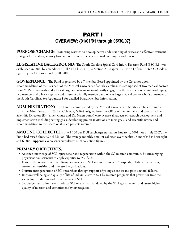# PART I **OVERVIEW: {01/01/01 through 06/30/07}**

PURPOSE/CHARGE: Promoting research to develop better understanding of causes and effective treatment strategies for paralysis, sensory loss, and other consequences of spinal cord injury and disease.

**LEGISLATIVE BACKGROUND:** The South Carolina Spinal Cord Injury Research Fund (SSCIRF) was established in 2000 by amendment (Bill S54 44-38-510) to Section 2, Chapter 38, Title 44 of the 1976 S.C. Code as signed by the Governor on July 20, 2000.

**GOVERNANCE:** The Fund is governed by a 7 member Board appointed by the Governor upon recommendation of the President of the Medical University of South Carolina. It is comprised of two medical doctors from MUSC; two medical doctors at large specializing or significantly engaged in the treatment of spinal cord injury; two members who have a spinal cord injury or a family member; and one at large medical doctor who is a member of the South Carolina. See **Appendix 1** for detailed Board Member Information.

**ADMINISTRATION:** The Fund is administered by the Medical University of South Carolina through a part-time Administrator (J. Walker Coleman, MBA) assigned from the Office of the President and two part-time Scientific Directors (Dr. James Krause and Dr. Naren Banik) who oversee all aspects of research development and implementation including setting goals, developing project invitations to meet goals, and scientific review and recommendation to the Board of all such projects received.

**AMOUNT COLLECTED:** The \$ 100 per DUI surcharges started on January 1, 2001. As of July 2007, the Fund had raised almost \$ 4.6 Million. The average monthly amount collected over the first 78 months has been right at \$ 60,000. **Appendix 2** presents cumulative DUI collection figures.

# **PRIMARY OBJECTIVES:**

- Advance knowledge of SCI injury repair and regeneration within the SC research community by encouraging physicians and scientists to apply expertise to SCI field.
- Foster collaborative interdisciplinary approaches to SCI research among SC hospitals, rehabilitative centers, research universities, and interested organizations.
- • Nurture next generation of SCI researchers through support of young scientists and post-doctoral fellows.
- • Improve well being and quality of life of individuals with SCI by research programs that prevent or treat the secondary conditions and consequences of SCI.
- • Set budgets and administer funds for SCI research as mandated by the SC Legislative Act, and assure highest quality of research and commitment by investigators.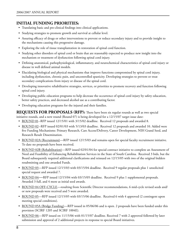## **INITIAL FUNDING PRIORITIES:**

- • Translating basic and pre-clinical findings into clinical applications.
- • Studying strategies to promote growth and survival at cellular level.
- • Assuring efficacy of drugs or other interventions to prevent or reduce secondary injury and to provide insight to the mechanisms causing this progressive damage.
- • Exploring the role of tissue transplantation in restoration of spinal cord function.
- • Studying other disorders of spinal cord or brain that are reasonably expected to produce new insight into the mechanism or treatment of dysfunction following spinal cord injury.
- • Defining anatomical, pathophysiological, inflammatory, and neurochemical characteristics of spinal cord injury or disease in well defined animal models.
- • Elucidating biological and physical mechanisms that improve functions compromised by spinal cord injury, including dysfunction, chronic pain, and uncontrolled spasticity. Developing strategies to prevent or treat secondary complications from injury or disease of the spinal cord.
- • Developing innovative rehabilitative strategies, services, or priorities to promote recovery and function following spinal cord injury.
- • Developing public education programs to help decrease the occurrence of spinal cord injury by safety education, better safety practices, and decreased alcohol use as a contributing factor.
- Developing education programs for the injured and their families.

**REQUESTS FOR PROPOSALS (RFP):** There have been six regular rounds as well as two special

initiative rounds, and a new round (Round 07) is being developed for a 12/15/07 target issue date:

- ROUND 01--RFP issued 12/15/01 with 3/15/02 deadline. Received 12 proposals and awarded 8.
- ROUND 02--RFP issued 02/01/03 with 5/13/03 deadline. Received 12 proposals and awarded 10. Added were five Funding Mechanisms: Primary Research, Care Access/Delivery, Career Development, NIH Grand Seed, and Research Result Dissemination.
- ROUND 02A (Recruitment)—RFP issued 12/15/03 and remains open for special faculty recruitment initiative. To date no proposals have been received.
- ROUND 02B (Rehabilitation)—RFP issued 02/01/04 for special contract initiative to complete an Assessment of Need and Feasibility of Enhancing Rehabilitation Services in the State of South Carolina. Received 3 bids, but the Board subsequently required additional clarifications and reissued on 12/15/05 with two of the original bidders resubmitting and one awarded Funds.
- ROUND 03—RFP issued 12/15/03 with 03/15/04 deadline. Received 9 regular proposals plus 1 unsolicited special request and awarded 7.
- ROUND 04—RFP issued 12/15/04 with 03/15/05 deadline. Received 9 plus 1 supplemental proposals. Awarded 3 full, and 4 more as initial seed awards.
- ROUND 04 OFF-CYCLE—resulting from Scientific Director recommendations, 6 mid-cycle revised seeds and/ or new proposals were received and 5 were awarded.
- ROUND 05-RFP issued 12/15/05 with 03/15/06 deadline. Received 6 with 4 approved (2 contingent upon meeting special conditions).
- ROUND 05A (Bridge Funding)-RFP issued in 05/06/06 and is open. 2 proposals have been funded under this provision (SCIRF 1205 and SCIRF 1004E).
- ROUND 06—RFP issued on 11/15/06 with 01/15/07 deadline. Received 7 with 2 approved followed by later submission and approval of 2 additional projects in response to special Board initiatives.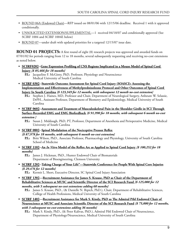- ROUND 06A (Endowed Chair)—RFP issued on 08/01/06 with 12/15/06 deadline. Received 1 with it approved conditionally.
- UNSOLICITED EXTENSION/SUPPLEMENTAL—1 received 04/18/07 and conditionally approved (See SCIRF 1004 and SCIRF 1004E below)
- ROUND 07—under draft with updated priorities for a targeted 12/15/07 issue date.

**ROUND 01 PROJECTS:** A first round of eight (8) research projects was approved and awarded funds on 07/01/02 for periods ranging from 12 to 18 months, several subsequently requesting and receiving no-cost extensions as noted below.

- **SCIRF0202--Gene Expression Profiling of CNS Regions Implicated in a Mouse Model of Spinal Cord Injury** *{\$ 85,466 for 18 months}*
	- **P.I.:** Jacqueline F. McGinty, PhD, Professor, Physiology and Neuroscience Medical University of South Carolina
- **• SCIRF 0302--Statewide Outcome Assessment for Spinal Cord Injury (SOASCI): Assessing the Implementation and Effectiveness of Methylprednisoleone Protocol and Other Outcomes of Spinal Cord Injury In South Carolina** *{\$ 123,349 for 12 months, with subsequent 12 month no-cost extension}*
	- **P.I.:** Stephen J. Haines, MD, Professor and Chair, Department of Neurological Surgery, Anbesaw W. Selassie, DrPH., Assistant Professor, Department of Biometry and Epidemiology, Medical University of South Carolina
- **• SCIRF 0602--Assessment and Treatment of Musculoskeletal Pain in the Shoulder Girdle in SCI Through Surface-Recorded EMG and EMG Biofeedback** *{\$ 91,990 for 18 months, with subsequent 6 month no-cost extension }*

**P.I.:** Susan J. Middaugh, PhD, PT, Professor, Department of Anesthesia and Perioperative Medicine, Medical University of South Carolina

 **• SCIRF 0802**--**Spinal Modulation of the Nociceptive Pressor Reflex**

 *{\$ 87,978 for 18 months, with subsequent 6 month no-cost extension}* **P.I.:** Britt Wilson, PhD., Associate Professor, Pharmacology and Physiology, University of South Carolina School of Medicine

 **• SCIRF 1102--An** *In Vitro* **Model of the Reflex Arc as Applied to Spinal Cord Injury** *{\$ 100,252 for 18 months}*

**P.I.:** James J. Hickman, PhD., Hunter Endowed Chair of Biomaterials Department of Bioengineering, Clemson University

 **• SCIRF 1202--Taking Charge of Your Life"—Statewide Conference for People With Spinal Core Injuries** *{\$ 29,476 for 12 months}*

**P.I.:** Kermit L. Short, Executive Director, SC Spinal Cord Injury Association

**• SCIRF 1302—Recruitment Assistance for James S. Krause, PhD as Chair of the Department of Rehabilitative Sciences at MUSC and Scientific Director of the SCI Research Fund** *{\$ 125,000 for 12 months, with 5 subsequent no-cost extensions adding 60 months}*

**P.I.:** James S. Krause, PhD., (& Danielle N. Ripich, PhD.), Chair, Department of Rehabilitative Sciences, College of Health Professions, Medical University of South Carolina

- **SCIRF 1402—Recruitment Assistance for Mark S. Kindy, PhD as The Admiral Pihl Endowed Chair of Neuroscience at MUSC and Associate Scientific Director of the SCI Research Fund** *{\$ 75,000 for 12 months, with 3 subsequent no-cost extensions adding 36 months}*
	- **P.I.:** Mark S. Kindy, PhD., (& Peter Kalivas, PhD.), Admiral Pihl Endowed Chair of Neuroscience, Department of Physiology/Neuroscience, Medical University of South Carolina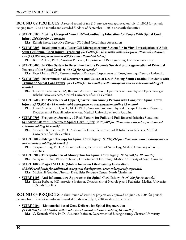**ROUND 02 PROJECTS:** A second round of ten (10) projects was approved on July 11, 2003 for periods ranging from 12 to 18 months and awarded funds as of September 1, 2003 or shortly thereafter.

- • **SCIRF 0103**--"**Taking Charge of Your Life"—Continuing Education for People With Spinal Cord Injury** *{\$65,000 for 12 months}*
	- **P.I.:** Kermit Short, Executive Director, SC Spinal Cord Injury Association
- • **SCIRF 0303**--**Development of a Laser Cell Micropatterning System for In Vitro Investigation of Adult Stem Cell Spinal Cord Injury Treatment** *{\$149,890 for 18 months,with subsequent 18 month extension and \$ 23,000 supplement—see 0303S under Round 04 below}* **P.I.:** Bruce Z. Gao, PhD., Assistant Professor, Department of Bioengineering, Clemson University
- • **SCIRF 0403**--**In Vitro System to Determine Factors Promote Survival and Regeneration of Principal Neurons of the Spinal Cord** *{\$ 74,892 for 18 months}*

**P.I.:** Peter Molnar, PhD., Research Assistant Professor, Department of Bioengineering, Clemson University

- • **SCIRF 0503**--**Determination of Occurrence and Causes of Death Among South Carolina Residents with Traumatic Spinal Cord Injury** *{\$ 145,000 for 18 months, with subsequent no-cost extension adding 21 months}*
	- **P.I.:** Elisabeth Pickelsimer, DA, Research Assistant Professor, Department of Biometry and Epidemiology/ Rehabilitative Sciences, Medical University of South Carolina
- • **SCIRF 0603**--**The Prevalence of Upper Quarter Pain Among Persons with Long-term Spinal Cord Injury** *{\$ 75,000 for 18 months, with subsequent no-cost extension adding 12 month}*
	- **P.I.:** David Morrisette, PT, ATC, MTC, PhD., Associate Professor, Physical Therapy Education Program, Department of Rehabilitative Sciences, Medical University of South Carolina
- • **SCIRF 0703**--**Frequency, Severity, ad Risk Factors for Falls and Fall-Related Injuries Sustained by Individuals with Incomplete Spinal Cord Injury** *{\$ 75,000 for 18 months, with subsequent no-cost extension adding 16 month}*
	- **P.I.:** Sandra S. Brotherton, PhD., Assistant Professor, Department of Rehabilitative Sciences, Medical University of South Carolina
- • **SCIRF 0803**--**Estrogen Therapy for Spinal Cord Injury** *{\$ 137,592 for 18 months, with 3 subsequent nocost extensions adding 36 months}*
	- **P.I.:** Swapan K. Ray, PhD., Assistant Professor, Department of Neurology, Medical University of South Carolina
- • **SCIRF 0903**--**Theraputic Use of Minocycline for Spinal Cord Injury** *{\$ 24,988 for 12 months}* **P.I.:** Narayan R. Bhat, PhD., Professsor, Department of Neurology, Medical University of South Carolina
- • **SCIRF 1003**--**Project M.I.L.E. (Mobile Inclusion Life-Training Evaluation)** *{\$ 3,000 seed funds for additional conceptual development, never subsequently expended}* **P.I.:** Michael E Godkin, Director, Disabilities Resource Center, North Charleston
- • **SCIRF 1103**--**Anti-inflammatory Approaches for Spinal Cord Injury** *{\$ 75,000 for 18 months}* **P.I.:** Ernest Barbosa, MD, Associate Professor, Departments of Neurology and Pediatrics, Medical University of South Carolina

**ROUND 03 PROJECTS:** A third round of seven (7) projects was approved on June 25, 2004 for periods ranging from 12 to 24 months and awarded funds as of July 1, 2004 or shortly thereafter:

 • **SCIRF 0104**—**Biomaterial-based Gene Delivery for Spinal Regeneration**  *{\$ 150,000 for 24 Months, with 2 subsequent no-cost extensions adding 18 months}* **P.I.:** C. Kenneth Webb, Ph.D., Assistant Professor, Department of Bioengineering, Clemson University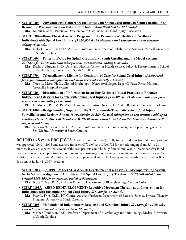- • **SCIRF 0204—2005 Statewide Conference for People with Spinal Cord Injury in South Carolina; And Beyond the Walls—Education Outside of Rehabilitation** *{\$ 60,000 for 12 Months}* **P.I.:** Kermit L. Short, Executive Director, South Carolina Spinal Cord Injury Association
- • **SCIRF 0304—Home Physical Activity Program for the Promotion of Health and Wellness in Individuals with Spinal Cord Injury** *{\$ 150,000 for 24 Months, with 2 subsequent no-cost extension adding 16 months}*
	- **P.I.:** Holly H. Wise, PT, Ph.D., Assistant Professor, Department of Rehabilitative Sciences, Medical University of South Carolina
- • **SCIRF 0604—Patterns of Care for Spinal Cord Injury: South Carolina and the Model Systems** *{\$ 61,632 for 12 Months, with subsequent no-cost extension adding 6 months}* 
	- **P.I.:** David E. Murday, Ph.D., Assistant Director, Center for Health Services Policy & Research Arnold School of Public Health, University of South Carolina
- • **SCIRF 0704—Telemedicine: A Lifeline for Continuity of Care for Spinal Cord Injury** *{\$ 3,000 seed funds for additional conceptual development, never subsequently expended}*
	- **P.I.:** Tracie L. Mertz, Ph.D., Clinical Psychologist, Neuropsychologist, Roger C. Peace Rehab Hospital, Greenville Hospital System
- • **SCIRF 0804—Dissemination of Information Regarding Evidenced-Based Practices to Enhance Independent Lifestyles for People with Spinal Cord Injuries** *{\$ 70,000 for 24 Months , with subsequent no-cost extension adding 12 months}*

**P.I.:** Jill Monger, P.T., MHS; Michael Godkin, Executive Director, DisAbility Resource Center of Charleston

- • **SCIRF 1004—Bridge Funding Support for the S. C. Statewide Traumatic Spinal Cord Injury Surveillance and Registry System** *{\$ 102,000 for 24 Months, with subsequent no-cost extension adding 12 months—also see SCIRF 1004E under ROUND 06 below which provided another 6 month extension with supplemental funds}*
	- **P.I.:** Anbesaw W. Selassie, DrPH., Assistant Professor, Department of Biometry and Epidemiology/Rehab. Sci., Medical University of South Carolina

**ROUND 02S & 04 PROJECTS:** A fourth round of three (3) fully funded and four (4) initial seed projects was approved July 01, 2005 and awarded funds on 07/01/05 and 09/01/02 for periods ranging from 3.5 to 24 months. It was anticipated that several of the seed projects could be fully funded mid-year in December after Fund Board review of revised proposals responding to concerns/suggestions arising during the initial scientific review. In addition, an earlier Round 02 project received a supplemental award. Following are the awards made based on Board decisions at its July 1, 2005 meeting:

 • **SCIRF 0303S**—**(SUPPLEMENTAL AWARD) Development of a Laser Cell Micropatterning System for In Vitro Investigation of Adult Stem Cell Spinal Cord Injury Treatment** *{\$ 23,000 added to the original \$149,890 for an extended period of 30 months}*

**P.I.:** Bruce Z. Gao, PhD., Assistant Professor, Department of Bioengineering Clemson University

 • **SCIRF 0105A—(SEED REDEVELOPMENT) Repetitive Movement Therapy as an Intervention for Individuals with Incomplete Spinal Cord Injury** *{\$ 5,000 for 3.5 Months}*

**P.I.:** Stacy L. Fritz, Ph.D., PT, Clinical Assistant Professor, Department of Exercise Science, Physical Therapy Program, University of South Carolina

- • **SCIRF 0205**—**Modulation of Inflammatory Response and Secondary Injury** *{\$ 25,000 for 12 Months, with subsequent no-cost extension adding 12 months}*
	- **P.I.:** Stephen Tomlinson Ph.D., Professor, Department of Microbiology and Immunology Medical University of South Carolina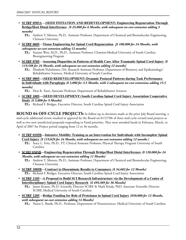- • **SCIRF 0505A**—**(SEED INITIATION AND REDEVELOPMENT) Engineering Regeneration Through Bridge/Host Distal Interference** *{\$ 25,000 for 6 Months, with subsequent no-cost extension adding 3 months}*
	- **P.I.:** Andrew T. Metters, Ph.D., Assistant Professor, Department of Chemical and Biomolecular Engineering, Clemson University
- • **SCIRF 0605**—**Tissue Engineering for Spinal Cord Regeneration** *{\$ 100,000 for 24 Months, with subsequent no-cost extension adding 12 months}* 
	- **P.I.:** Xuejun Wen, M.D., Ph.D., Assistant Professor, Clemson**-**Medical University of South Carolina Bioengineering Program
- • **SCIRF 0705**—**Assessing Disparities in Patterns of Health Care After Traumatic Spinal Cord Injury** *{\$ 119,598 for 24 Months, with subsequent no-cost extension adding 12 months}*
	- **P.I.:** Elisabeth Pickelsimer, DA, Research Assistant Professor, Department of Biometry and Epidemiology/ Rehabilitative Sciences, Medical University of South Carolina
- • **SCIRF 0805—(SEED REDEVELOPMENT) Dynamic Postural Patterns during Task Performance in Individuals with Paraplegia** *{\$ 5,000 for 3.5 Months, with 2 subsequent no-cost extensions adding 15.5 months}*

**P.I.:** Hon K. Yuen, Associate Professor, Department of Rehabilitative Sciences

 • **SCIRF 1005—(SEED DEVELOPMENT) South Carolina Spinal Cord Injury Association Cooperative Study** *{\$ 5,000 for 9 Months}*

**P.I.:** Richard F. Bridges, Executive Director, South Carolina Spinal Cord Injury Association

**ROUND 04 OFF-CYCLE PROJECTS:** In follow-up to decisions made at the prior July Board meeting, a mid-cycle additional review resulted in approval by the Board on 01/27/06 of three mid-cycle revised seed projects as well as two new unsolicited proposals responding to Fund priorities. They were awarded funds in February, March, or April of 2007 for Project period ranging from 12 to 36 months.

- • **SCIRF 0105B—Intensive Mobility Training as an Intervention for Individuals with Incomplete Spinal Cord Injury** *{\$ 119,829 for 24 Months, with subsequent no-cost extension adding 12 months }* **P.I.:** Stacy L. Fritz, Ph.D., PT, Clinical Assistant Professor, Physical Therapy Program University of South Carolina
- • **SCIRF 0505B—Engineering Regeneration Through Bridge/Host Distal Interference** *{\$ 120,000 for 24 Months, with subsequent no-cost extension adding 11 Months}*
	- **P.I.:** Andrew T. Metters, Ph.D., Assistant Professor, Department of Chemical and Biomolecular Engineering, Clemson University
- • **SCIRF 1005B—Contract to Disseminate Results to Consumers** *{\$ 34,602 for 12 Months}* **P.I.:** Richard F. Bridges, Executive Director, South Carolina Spinal Cord Injury Association
- • **SCIRF 1105—A Proposal to Build SCI Research Infrastructure via the Development of a Center of Interdisciplinary Spinal Cord Injury Research** *{\$ 499,309 for 36 Months}*

**P.I.:** James Krause, Ph.D, Scientific Director SCIRF & Mark Kindy, PhD, Associate Scientific Director SCIRF, Medical University of South Carolina

 • **SCIRF 1205**—**Bridge Funding for Role of Proteinase in Spinal Cord Injury** *{\$50,000 for 12 Months, with subsequent no-cost extension adding 14 Months}*

**P.I.:** Naren L. Banik, Ph.D., Professor, Department of Neurosciences, Medical University of South Carolina

.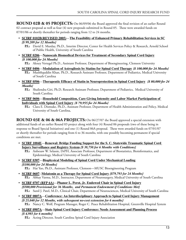**ROUND 02B & 05 PROJECTS:** On 06/09/06 the Board approved the final revision of an earlier Round 02 contract proposal as well as four (4) new proposals submitted in Round 05. These were awarded funds on 07/01/06 or shortly thereafter for periods ranging from 12 to 24 months.

 • **SCIRF 0102B(REVISED 2005)**—**The Feasibility of Enhanced Primary Rehabilitation Services in SC** *{\$ 99,209 for 12 Months}*

**P.I.:** David E. Murday, Ph.D., Interim Director, Center for Health Services Policy & Research, Arnold School of Public Health, University of South Carolina

 • **SCIRF 0206**—**Nanoscale Biomedical Devices for Treatment of Secondary Spinal Cord Injury** *{\$ 100,000 for 24 Months}*

**P.I.:** Alexey Vertegel Ph.D., Assistant Professor, Department of Bioengineering, Clemson University

- • **SCIRF 0406**—**Modulation of Astrogliosis by Statins for Spinal Cord Therapy** *{\$ 100,000 for 24 Months}* **P.I.:** Mushfiquddin Khan, Ph.D., Research Assistant Professor, Department of Pediatrics, Medical University of South Carolina
- • **SCIRF 0506**—**Therapeutic Efficacy of Statin in Neuroprotection in Spinal Cord Injury** *{\$ 80,000 for 24 Months}*
	- **P.I.:** Shailendra Giri, Ph.D, Research Assistant Professor, Department of Pediatrics, Medical University of South Carolina
- • **SCIRF 0606**—**Household Composition, Care Giving Intensity and Labor Market Participation of Individuals with Spinal Cord Injury** *{\$ 79,955 for 24 Months}*
	- **P.I.:** Clara E. Dismuke, Ph.D., Assistant Professor, Department of Health Administration and Policy, Medical University of South Carolina,

**ROUND 03E & 06 & 06A PROJECTS:** On 06/27/07 the Board approved a special extension with additional funds of an earlier Round 03 project along with four (4) Round 06 proposals (two of these being in response to Board Special Initiatives) and one (1) Round 06A proposal. These were awarded funds on 07/01/07 or shortly thereafter for periods ranging from 6 to 36 months, with one possibly becoming permanent if special conditions are met.

- • **SCIRF 1004E**—**Renewal: Bridge Funding Support for the S. C. Statewide Traumatic Spinal Cord Injury Surveillance and Registry System** *{\$ 38,750 for 6 Months with Conditions}*
	- **P.I.:** Anbesaw W. Selassie, DrPH, Associate Professor, Department of Biostatistics, Bioinformatics, and Epidemiology, Medical University of South Carolina
- • **SCIRF 0307**—**Biophysical Modeling of Spinal Cord Under Mechanical Loading** *{\$100,000 for 24 Months}* **P.I.:** Hai Yao, Ph.D., Assistant Professor, Clemson—MUSC Bioengineering Program
- • **SCIRF 0607**--**Melatonin as a Therapy for Spinal Cord Injury** *{\$79,793 for 24 Months}* **P.I.:** Abhay Varma, M.D., Instructor, Department of Neurosurgery, Medical University of South Carolina
- • **SCIRF 0707 (RFP 6A)**—**Phanor L. Perot, Jr. Endowed Chair in Spinal Cord Injury** *{\$500,000 Provisional for 36 Months, and Permanent Endowment if Conditions Met}* **P.I.:** Sunil J. Patel, M.D., Clinical Chair, Department of Neurosciences, Medical University of South Carolina
- • **SCIRF 0807A**—**Conference: An Interdisciplinary Approach to Spinal Cord Injury Management** *{\$ 25,040 for 12 Months, with subsequent no-cost extension for 6 months}* **P.I.:** Nancy C. Wolf, Program Manager, Roger C. Peace Rehabilitation Hospital, Greenville Hospital System
- • **SCIRF 0907A**—**State Spinal Cord Injury Conference: Needs Assessment and Planning Process** *{\$ 4,985 for 6 months}*
	- **P.I.:** Acting Director, South Carolina Spinal Cord Injury Association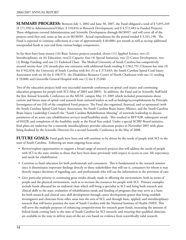**SUMMARY PROGRESS:** Between July 1, 2002 and June 30, 2007, the Fund obligated a total of \$ 5,055,249 (\$ 171,950 in Administration/Other; \$ 310,816 in Research Development; and \$ 4,572,483 in Funded Projects). These obligations covered Administration and Scientific Development through 06/30/07, and will cover all of the projects until they end, some as late as on 06/30/09. Actual expenditures for the period totaled \$ 3,101,190. The Fund is expected to continue collections at a rate of approximately \$ 60,000+ per month as well as recoup additional unexpended funds at year-end from various budget components.

So far there have been sixteen (16) Basic Science projects awarded, eleven (11) Applied Science, two (2) Interdisciplinary, six (6) Education, two(2) Capacity, four (4) Special Initiatives, two (2) Career Development, two (2) Bridge Funding, and one (1) Endowed Chair. The Medical University of South Carolina has competitively secured twenty-four (24) awards plus one extension with additional funds totaling \$ 2,962,791; Clemson has nine (9) for \$ 942,034; the University of South Carolina with five (5) at \$ 373,645; the South Carolina Spinal Cord Injury Association with six (6) for \$ 198,973; the Disabilities Resource Center of North Charleston with one (1) totaling \$ 70,000; and Greenville General Hospital with one (1) for \$ 25,040.

Two of the education projects held very successful statewide conferences on spinal cord injury and continuing education programs for people with SCI (May of 2003 and 2005). In addition, the Fund and its Scientific Staff held the first Annual Scientific Conference on the MUSC campus May 13, 2005 which included presentations about current and future state of spinal cord research from national leaders as well as findings/accomplishments by Principle Investigators of ten (10) of the completed Fund projects. The Fund also organized, financed, and co-sponsored (with the South Carolina Spinal Cord Injury Association, the South Carolina Brain Injury Alliance, and the South Carolina Brain Injury Leadership Council) the "South Carolina Rehabilitation Meeting" of statewide leadership to discuss parameters of an acute care rehabilitation services need/feasibility study. This resulted in RFP 02B, subsequent award of 0102B, and completion of the feasibility study as the Fiscal Year ended. Under a special SCIRF Board initiative, final plans are underway for a statewide interdisciplinary provider education project in November 2007 with plans being finalized by the Scientific Directors for a second Scientific Conference in the May of 2008.

**FUTURE GOALS:** Fund goals have been and will continue to be driven by the needs of people with SCI in the state of South Carolina. Following are main ongoing focus areas:

- • Review/explore opportunities to support a broad range of research projects that will address the needs of people with SCI in the state, similar to those that have been done previously with respect to access to care, life expectancy, and needs for rehabilitation.
- • Continue to fund education for both professionals and consumers. This is fundamental to the research mission since it disseminates important findings directly to those stakeholders that will use it, consumers for whom it may directly impact decisions of regarding care, and professionals who will use the information in the provision of care.
- • Give particular priority to continuing great strides already made in affecting the environment, both in terms of people and the physical environment, such as to increase the resources for people with SCI. Primary examples include funds allocated for an endowed chair which will bring a specialist in SCI and bring both research and clinical skills to the state; evaluation of rehabilitation needs and funding of programs that may serve as a basis for both research and clinical care; skill development through career development grants that bring establish investigators and clinicians from other areas into the area of SCI; and through basic, applied, and interdisciplinary research that will better position the state of South Carolina with the National Institute of Health (NIH). This will serve the multiple purposes of enhancing competitiveness for research grant funds, increasing the amount of federal funds coming back to the state of South Carolina for SCI research, and ensuring that qualified clinicians are available in the state to deliver state-of-the-art care based on evidence from scientifically valid research.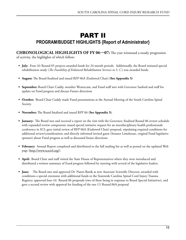# PART II **PROGRAM/BUDGET HIGHLIGHTS {Report of Administrator}**

**CHRONOLOGICAL HIGHLIGHTS OF FY 06—07:** The year witnessed a steady progression of activity, the highlights of which follow:

- **• July:** Four (4) Round 05 projects awarded funds for 24 month periods. Additionally, the Board initiated special rehabilitation study (*The Feasibility of Enhanced Rehabilitation Services in S. C.*) was awarded funds.
- **• August:** The Board finalized and issued RFP 06A (Endowed Chair) **(See Appendix 5)**
- **• September:** Board Chair Cuddy, member Westercam, and Fund staff met with Governor Sanford and staff for update on Fund progress and discuss Future directions
- **October:** Board Chair Cuddy made Fund presentations at the Annual Meeting of the South Carolina Spinal Society.
- **• November:** The Board finalized and issued RFP 06 (**See Appendix 5)**.
- **• January:** The Board met and received a report on the visit with the Governor; finalized Round 06 review schedule with expanded review component; issued special initiative request for an interdisciplinary health professionals conference in SCI; gave initial review of RFP 06A (Endowed Chair) proposal, stipulating required conditions for additional review/consideration; and directly informed invited guest (Senator Limehouse, original Fund legislative sponsor) about Fund progress as well as discussed future directions.
- **• February:** Annual Report completed and distributed to the full mailing list as well as posted on the updated Web page (http://www.scscirf.org/).
- **• April:** Board Chair and staff visited the State House of Representatives where they were introduced and distributed a written summary of Fund progress followed by meeting with several of the legislative leaders.
- **June:** The Board met and approved Dr. Naren Banik as new Associate Scientific Director; awarded with conditions a special extension with additional funds to the Statewide Carolina Spinal Cord Injury Trauma Registry; approved four (4) Round 06 proposals (two of these being in response to Board Special Initiatives), and gave a second review with approval for funding of the one (1) Round 06A proposal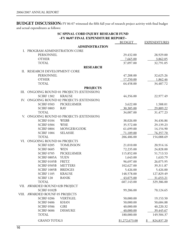**BUDGET DISCUSSION:** FY 06-07 witnessed the fifth full year of research project activity with final budget and actual expenditures as follows:

#### **SC SPINAL CORD INJURY RESEARCH FUND ~FY 06/07 FINAL EXPENDITURE REPORT~**

|      |                                 |                                       | <b>BUDGET</b>  | <b>EXPENDITURES</b>                   |
|------|---------------------------------|---------------------------------------|----------------|---------------------------------------|
|      |                                 | <b>ADMINISTRATION</b>                 |                |                                       |
| I.   | PROGRAM ADMINISTRATION CORE     |                                       |                |                                       |
|      | PERSONNEL                       |                                       | 29,432.00      | 28,929.00                             |
|      | <b>OTHER</b>                    |                                       | 7,665.00       | 3,862.05                              |
|      | <b>TOTAL</b>                    |                                       | 37,097.00      | 32,791.05                             |
|      |                                 | <b>RESEARCH</b>                       |                |                                       |
| II.  | RESEARCH DEVELOPMENT CORE       |                                       |                |                                       |
|      | PERSONNEL                       |                                       | 47,208.00      | 32,625.26                             |
|      | <b>OTHER</b>                    |                                       | 17,250.00      | 1,862.46                              |
|      | <b>TOTAL</b>                    |                                       | 64,458.00      | 34,487.72                             |
|      |                                 | <b>PROJECTS</b>                       |                |                                       |
| III. |                                 | ONGOING ROUND 01 PROJECTS (EXTENSION) |                |                                       |
|      | <b>SCIRF 1302</b>               | <b>KRAUSE</b>                         | 44,356.00      | 22,977.49                             |
| IV.  |                                 | ONGOING ROUND 02 PROJECTS (EXTENSION) |                |                                       |
|      | <b>SCIRF 0503</b>               | PICKELSIMER                           | 3,622.00       | 1,588.01                              |
|      | <b>SCIRF 0803</b>               | <b>RAY</b>                            | 30,385.00      | 29,889.22                             |
|      | <b>TOTAL</b>                    |                                       | 34,007.00      | 31,477.23                             |
| V.   |                                 | ONGOING ROUND 03 PROJECTS (EXTENSION) |                |                                       |
|      | <b>SCIRF 0104</b>               | <b>WEBB</b>                           | 38,026.00      | 34,436.86                             |
|      | <b>SCIRF 0304</b>               | <b>WISE</b>                           | 35,572.00      | 29,139.23                             |
|      | <b>SCIRF 0804</b>               | MONGER/GODK                           | 61,699.00      | 14,154.90                             |
|      | <b>SCIRF 1004</b>               | <b>SELASSIE</b>                       | 71,109.00      | 76,357.70                             |
|      | <b>TOTAL</b>                    |                                       | 206,406.00     | 154,088.69                            |
| VI.  | ONGOING ROUND 04 PROJECTS       |                                       |                |                                       |
|      | <b>SCIRF 0205</b>               | <b>TOMLINSON</b>                      | 21,010.00      | 20,914.16                             |
|      | <b>SCIRF 0605</b>               | <b>WEN</b>                            | 72,235.00      | 24,828.00                             |
|      | <b>SCIRF 0705</b>               | PICKELSIMER                           | 115,852.00     | 51,713.53                             |
|      | SCIRF 0805A                     | <b>YUEN</b>                           | 1,643.00       | 1,633.79                              |
|      | SCIRF 0105B                     | <b>FRITZ</b>                          | 96,697.00      | 26,075.95                             |
|      | SCIRF 0505B                     | <b>METTERS</b>                        | 102,627.00     | 39,311.87                             |
|      | <b>SCIRF 1005B</b>              | <b>BRIDGES</b>                        | 5,426.00       | 5,426.00                              |
|      | <b>SCIRF 1105</b>               | <b>KRAUSE</b>                         | 148,578.00     | 127,829.49                            |
|      | <b>SCIRF 120</b>                | <b>BANIK</b>                          | 43,075.00      | 31,653.21                             |
|      | <b>TOTAL</b>                    |                                       | 607,143.00     | 329,386.00                            |
|      | VII. AWARDED ROUND 02B PROJECT  |                                       |                |                                       |
|      | <b>SCIRF 0102B</b>              |                                       | 99,206.00      | 70,124.65                             |
|      | VIII. AWARDED ROUNF 05 PROJECTS |                                       |                |                                       |
|      | <b>SCIRF 0206</b>               | <b>VERTIGEL</b>                       | 50,000.00      | 19,153.50                             |
|      | <b>SCIRF 0406</b>               | <b>KHAN</b>                           | 50,000.00      | 50,684.88                             |
|      | <b>SCIRF 0506</b>               | <b>GIRI</b>                           | 40,000.00      | 40,220.32                             |
|      | <b>SCIRF 0606</b>               | <b>DISMUKE</b>                        | 40,000.00      | 39,445.67                             |
|      | <b>TOTAL</b>                    |                                       | 180,000.00     | 149,504.37                            |
|      |                                 |                                       |                |                                       |
|      | <b>GRAND TOTALS</b>             |                                       | \$1,272,673.00 | 824,837.20<br>$\frac{\mathcal{L}}{2}$ |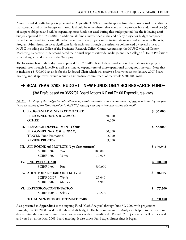A more detailed 06-07 budget is presented in **Appendix 3**. While it might appear from the above actual expenditures that about a third of the budget was saved, it should be remembered that many of the projects have additional year(s) of support obligated and will be expending most funds not used during this budget period (see the following draft budget approved for FY 07-08). In addition, all funds unexpended at the end of any project or budget component period are returned to the overall budget to support new projects and activities. As mentioned in previous Reports, Program Administration saves significant funds each year through the assistance volunteered by several offices of MUSC including the Office of the President, Research Office, Grants Accounting, the MUSC Medical Center Marketing Department that coordinated the Annual Report statewide mailings, and the College of Health Professions which designed and maintains the Web page

The following first draft budget was approved for FY 07-08. It includes consideration of actual ongoing project expenditures through June 30 as well as estimated expenditures of those operational throughout the year. Note that it includes a \$ 500,000 set aside for the Endowed Chair which will receive a final voted at the January 2007 Board meeting and, if approved, would require an immediate commitment of the whole \$ 500,000 total.

# **~FISCAL YEAR 07/08 BUDGET—NEW FUNDS ONLY SCI RESEARCH FUND~**

{3rd Draft, based on 06/22/07 Board Actions & Final FY 06 Expenditures--jwc}

*NOTE: Tbis draft of the Budget includes all known possible expenditures and commitments of new monies during the year based on actions of the Fund Board at its 06/22/07 meeting and any subsequent actions via email.*

|     | PROGRAM ADMINISTRATION CORE                  |          |         | \$36,000     |
|-----|----------------------------------------------|----------|---------|--------------|
|     | PERSONNEL (Incl. F. B. at 28.6%)             |          | 30,000  |              |
|     | <b>OTHER</b>                                 |          | 6,000   |              |
|     | II. RESEARCH DEVELOPMENT CORE                |          |         | \$55,000     |
|     | PERSONNEL (Incl. F. B. at 28.6%)             |          | 50,000  |              |
|     | <b>TRAVEL</b> (Fund Promotion)               |          | 2,000   |              |
|     | <b>REVIEW PROCESS</b>                        |          | 3,000   |              |
|     | III. ALL ROUND 06 PROJECTS (2 yr Commitment) |          |         | \$179,973    |
|     | <b>SCIRF 0307</b>                            | Yao      | 100,000 |              |
|     | <b>SCIRF 0607</b>                            | Varma    | 79,973  |              |
| IV. | <b>ENDOWED CHAIR</b>                         |          |         | \$500,000    |
|     | <b>SCIRF 0707</b>                            | Patel    | 500,000 |              |
| V.  | <b>ADDITIONAL BOARD INITIATIVES</b>          |          |         | \$30,025     |
|     | <b>SCIRF 00807</b>                           | Wolfe    | 25,040  |              |
|     | <b>SCIRF 0907</b>                            | Matney   | 4,985   |              |
|     | VI. EXTENSION/CONTINUATION                   |          |         | \$<br>77,500 |
|     | SCIRF 1004E                                  | Selassie | 77,500  |              |
|     | <b>TOTAL NEW BUDGET ESTIMATE 07/08</b>       |          |         | 878,498      |

Also presented in **Appendix 3** is the ongoing Fund "Cash Analysis" through June 30, 2007 with projections through June 30, 2008 based on the above draft budget. The bottom line in this Analysis is helpful to the Board in determining the amount of funds they have to work with in awarding the Round 07 projects which will be reviewed and voted on at the May 2008 Board meeting. It also shows Fund expenditures since it began.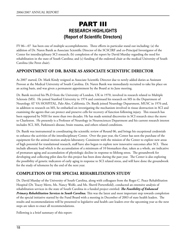# PART III **RESEARCH HIGHLIGHTS {Report of Scientific Directors}**

FY 06—07 has been one of multiple accomplishments. Three efforts in particular stand out including: (a) the addition of Dr. Naren Banik as Associate Scientific Director of the SCSCIRF and co-Principal Investigator of the Center for interdisciplinary SCI research; (b) completion of the report by David Murday regarding the need for rehabilitation in the state of South Carolina; and (c) funding of the endowed chair at the medical University of South Carolina (the Perot chair).

### **APPOINTMENT OF DR. BANIK AS ASSOCIATE SCIENTIFIC DIRECTOR**

As 2007 started, Dr. Mark Kindy resigned as Associate Scientific Director due to newly added duties as Assistant Provost at the Medical University of South Carolina. Dr. Naren Banik was immediately recruited to take his place on an acting basis, and was given a permanent appointment by the Board at its June meeting.

Dr. Banik received his Ph.D from the University of London, UK in 1970, involved in research related to Multiple Sclerosis (MS). He joined Stanford University in 1974 and continued his research on MS in the Department of Neurology AT VA HOSPITAL, Palo Alto, California. Dr. Banik joined Neurology Department, MUSC in 1976 and, in addition to research on MS, he embarked on investigating the mechanism involved in tissue destruction in SCI and examining the agents that can protect and preserve cells for recovery of function following injury. This research has been supported by NIH for more than two decades. He has made seminal discoveries in SCI research since the move to Charleston. He presently is a Professor of Neurology in Neurosciences Department and his current research interest includes SCI, MS, Parkinson's disease, brain trauma, and others related conditions.

Dr. Banik was instrumental in coordinating the scientific review of Round 06, and brings his exceptional credentials to enhance the activities of the interdisciplinary Center. Over the past year, the Center has seen the purchase of the equipment for the animal motion analysis laboratory. Consistent with the mission of the Center to explore new areas of high potential for translational research, staff have also begun to explore new innovative outcomes after SCI. These include allostatic load which is the accumulation of a minimum of 10 biomarkers that, taken as a whole, are indicative of premature aging and accumulation of physiologic decline in response to lifelong stress. The groundwork for developing and collecting pilot data for this project has been done during the past year. The Center is also exploring the possibility of genetic indicators of early aging in response to SCI related stress, and will have done the groundwork for the study of telomeres by the end of the next year.

# **COMPLETION OF THE SPECIAL REHABILITATION STUDY**

Dr. David Murday of the University of South Carolina, along with colleagues from the Roger C. Peace Rehabilitation Hospital (Dr. Tracey Mertz, Ms. Nancy Wolfe, and Ms. Sherril Portersfield), conducted an extensive analysis of rehabilitation services in the state of South Carolina in a funded project entitled: *The Feasibility of Enhanced Primary Rehabilitation Services in South Carolina.* This was the latest and most important step towards completion of the special initiative started by the Fund Board with a meeting in December of 2003 of state health leaders. The results and recommendations will be presented to legislative and health care leaders over the upcoming year as the next steps are taken to enact all recommendations.

Following is a brief summary of this report: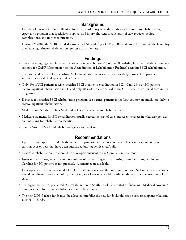# **Background**

- • Decades of research into rehabilitation for spinal cord injury have shown that early entry into rehabilitation, especially a program that specializes in spinal cord injury, shortens total lengths of stay, reduces medical complications, and improves outcomes.
- • During FY 2007, the SCIRF funded a study by USC and Roger C. Peace Rehabilitation Hospital on the feasibility of enhancing primary rehabilitation services across the state.

# **Findings**

- There are enough general inpatient rehabilitation beds, but only15 of the 588 existing inpatient rehabilitation beds are used for CARF (Commission on the Accreditation of Rehabilitation Facilities) accredited SCI rehabilitation.
- The estimated demand for specialized SCI rehabilitation services is an average daily census of 23 patients, supporting a total of 31 specialized SCI beds.
- Only 8% of SCI patients receive specialized SCI inpatient rehabilitation in SC. (Only 26% of SCI patients receive inpatient rehabilitation in SC and only 30% of those are served in the CARF accredited spinal cord injury program.)
- • Distance to specialized SCI rehabilitation programs is a barrier; patients in the Low country are much less likely to receive inpatient rehabilitation.
- Medicare and South Carolina Medicaid policies affect access to rehabilitation.
- • Medicare payments for SCI rehabilitation usually exceed the cost of care, but recent changes in Medicare policies are unsettling for rehabilitation facilities.
- South Carolina's Medicaid rehab coverage is very restricted.

# **Recommendations**

- • Up to 15 more specialized SCI beds are needed, primarily in the Low country. These can be conversions of existing beds or beds that have been authorized but not yet licensed/built.
- New SCI rehabilitation beds should be developed pursuant to the Companion Care model.
- • Issues related to cost, expertise and low volume of patients suggest that starting a ventilator program in South Carolina for SCI patients is not practical. Alternatives are available.
- • Develop a case management model for SCI rehabilitation across the continuum of care. SCI nurse case managers would coordinate across levels of inpatient care; social workers would coordinate the outpatient continuum of care.
- • The biggest barrier to specialized SCI rehabilitation in South Carolina is related to financing. Medicaid coverage/ reimbursement for primary rehabilitation must be expanded.
- • The new DDSN rehab funds must be allocated carefully; the new funds should not be used to supplant Medicaid DSH/UPL funds.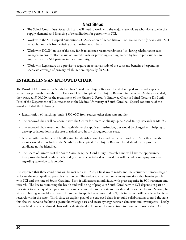# **Next Steps**

- The Spinal Cord Injury Research Board will need to work with the major stakeholders who play a role in the supply, demand, and financing of rehabilitation for persons with SCI.
- • Work with the SC Hospital Association/SC Association of Rehabilitation Facilities to identify new CARF SCI rehabilitation beds from existing or authorized rehab beds.
- Work with DDSN on use of the new funds to advance recommendations (i.e., hiring rehabilitation case managers to ensure effective use of limited funds, or providing training needed by health professionals to improve care for SCI patients in the community).
- Work with Legislature on a proviso to require an actuarial study of the costs and benefits of expanding Medicaid coverage of primary rehabilitation, especially for SCI.

# **ESTABLISHING AN ENDOWED CHAIR**

The Board of Directors of the South Carolina Spinal Cord Injury Research Fund developed and issued a special request for proposals to establish an Endowed Chair in Spinal Cord Injury Research in the State. As the year ended, they awarded \$500,000 for the recruitment of the Phanor L. Perot, Jr. Endowed Chair in Spinal Cord to Dr. Sunil Patel of the Department of Neurosciences at the Medical University of South Carolina. Special conditions of the award included the following:

- Identification of matching funds (\$500,000) from sources other than state monies.
- • The endowed chair will collaborate with the Center for Interdisciplinary Spinal Cord Injury Research at MUSC.
- • The endowed chair would not limit activities to the applicant institution, but would be charged with helping to develop collaborations in the area of spinal cord injury throughout the state.
- • A 36 month time frame will be allocated for identification of an endowed chair candidate. After this time the monies would revert back to the South Carolina Spinal Cord Injury Research Fund should an appropriate candidate not be identified.
- The Board of Directors of the South Carolina Spinal Cord Injury Research Fund will have the opportunity to approve the final candidate selected (review process to be determined but will include a one-page synopsis regarding statewide collaboration).

It is expected that these conditions will be met early in FY 08, a final award made, and the recruitment process begun to locate the most qualified possible chair holder. The endowed chair will serve many functions that benefit people with SCI and the state of South Carolina. First, it will attract an individual with great expertise in SCI treatment and research. The key to promoting the health and well-being of people in South Carolina with SCI depends in part on the extent to which qualified professionals can be attracted into the state to provide and oversee such care. Second, by virtue of having an established research program in applied outcomes and SCI, this individual will be able to facilitate research within the state. Third, since an explicit goal of the endowed chair is to build collaborations around the state, this also will serve to facilitate a greater knowledge base and create synergy between clinicians and investigators. Lastly, the availability of an endowed chair will facilitate the development of clinical trials to promote recovery after SCI.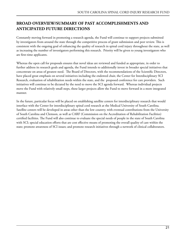# **BROAD OVERVIEW/SUMMARY OF PAST ACCOMPLISHMENTS AND ANTICIPATED FUTURE DIRECTIONS**

Constantly moving forward in promoting a research agenda, the Fund will continue to support projects submitted by investigators from around the state through the competitive process of grant submission and peer review. This is consistent with the ongoing goal of enhancing the quality of research in spinal cord injury throughout the state, as well as increasing the number of investigators performing this research. Priority will be given to young investigators who are first-time applicants.

Whereas the open call for proposals ensures that novel ideas are reviewed and funded as appropriate, in order to further address its research goals and agenda, the Fund intends to additionally invest in broader special initiatives that concentrate on areas of greatest need. The Board of Directors, with the recommendations of the Scientific Directors, have placed great emphasis on several initiatives including the endowed chair, the Center for Interdisciplinary SCI Research, evaluation of rehabilitation needs within the state, and the proposed conference for care providers. Such initiatives will continue to be dictated by the need to move the SCI agenda forward. Whereas individual projects move the Fund with relatively small steps, these larger projects allow the Fund to move forward in a more integrated manner.

In the future, particular focus will be placed on establishing satellite centers for interdisciplinary research that would interface with the Center for interdisciplinary spinal cord research at the Medical University of South Carolina. Satellite centers will be developed in areas other than the low country, with eventual contributions from the University of South Carolina and Clemson, as well as CARF (Commission on the Accreditation of Rehabilitation Facilities) certified facilities. The Fund will also continue to evaluate the special needs of people in the state of South Carolina with SCI; special education efforts that are cost effective means of promoting the overall quality of care within the state; promote awareness of SCI issues; and promote research initiatives through a network of clinical collaborators.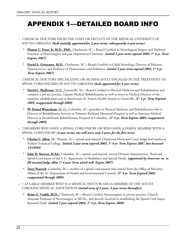# APPENDIX 1—DETAILED BOARD INFO

- *~* 2 MEDICAL DOCTORS FROM THE STAFF OR FACULTY OF THE MEDICAL UNIVERSITY OF SOUTH CAROLINA *(both initially appointed for 2 year terms, subsequently 4 year terms).*
	- **\* Phanor L. Perot**, **Jr, M.D., PhD**., Charleston, SC—Board Certified in Neurological Surgery and Professor Emeritus of Neurosurgery and past Department Chairman*. {initial 2 year term expired 2003, 1st 4 yr. Term Expires 2007}*
	- **\* David A. Griesemer**, **M.D.**, Charleston, SC—Board Certified in Child Neurology, Director of Pediatric Neurosciences, and Professor of Neuroscience and Pediatrics. *{initial 2 year term expired 2003, 1<sup>st</sup> 4 yr. Term Expires 2007}*
- *~* 2 MEDICAL DOCTORS SPECIALIZING OR SIGNIFICANTLY ENGAGED IN THE TREATMENT OF SPINAL CORD INJURIES IN SOUTH CAROLINA *(both appointed for 4 year terms)*.
	- **\* David L. Shallcross**, M.D., Greenville, SC---Board Certified in Physical Medicine and Rehabilitation and conducts a private practice, Upstate Medical Rehabilitation, as well as serves as Medical Director of the inpatient rehabilitation unit at BonSecours St. Francis Health System in Greenville. *{1st 4 yr. Term Expired 2005, reappointed through 2009}*
	- **\* W. Daniel Westerkam**, M. D., Columbia, SC--specialist in Physical Medicine and Rehabilitation who is Director of Rehabilitative Services at Palmetto Richland Memorial Hospital as well as Associate Medical Director at HealthSouth Rehabilitation Hospital in Columbia. *{1st 4 yr. Term Expires 2005, reappointed through 2009}*
- *~* 2 MEMBERS WHO HAVE A SPINAL CORD INJURY OR WHO HAVE A FAMILY MEMBER WITH A SPINAL CORD INJURY *(4 year terms, one will serve only 2 years for the first term)*.
	- **\* Charles L. Allen,** Mt. Pleasant, SC—spinal cord injured, Charleston Municipal Court Judge and teaches at Trident Technical College. *{initial 2 year term expired 2003, 1st 4 yr. Term Expires 2007, but deceased 12/29/03}*
	- **\* John H. Stevens, M.Ed.,** Columbia, SC—spinal cord injured, retired Division Administrator, Head and Spinal Cord Injury of the S. C. department of Disabilities and Special Needs. *{appointed by Governor on to fill vacated Judge Allen 1st 4 year Term which will Expire 2007}*
	- **\* Terry Peacock**, Columbia, SC—mother of a spinal cord injured who retired from the Office of Minority Affairs of the SC Department of Health and Environmental Control. *{1st 4 yr. Term Expired 2005, reappointed through 2009}*
- *~* 1 AT LARGE MEMBER WHO IS A MEDICAL DOCTOR AND A MEMBER OF THE SOUTH CAROLINA MEDICAL ASSOCIATION *(initial term of 3 years, 4 year terms thereafter)*.
	- **Brian G. Cuddy, M.D.,** Charleston, SC—Board Certified Neurosurgeon in private practice, Clinical Associate Professor of Neurosurgery at MUSC, and directly involved in establishing the Spinal Cord Injury Research Fund. *{initial 3 year expired 2004, 1<sup>st</sup> 4 yr. Term Expires 2008}*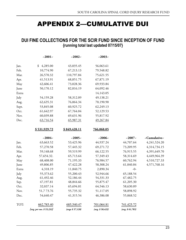# APPENDIX 2—CUMULATIVE DUI

# **DUI FINE COLLECTIONS FOR THE SCIR FUND SINCE INCEPTION OF FUND {running total last updated 07/15/07}**

|       | $-2001-$                | $-2002-$        | $-2003-$        |                  |              |
|-------|-------------------------|-----------------|-----------------|------------------|--------------|
| Jan.  | \$<br>4,285.00          | 43,035.45       | 56,063.61       |                  |              |
| Feb.  | 10,774.90               | 67,213.13       | 79,548.82       |                  |              |
| Mar.  | 26,570.32               | 110,797.84      | 75,621.55       |                  |              |
| Apr.  | 41,513.91               | 68,851.75       | 67,871.19       |                  |              |
| May   | 42,606.41               | 73,028.36       | 69,933.84       |                  |              |
| June  | 50,170.12               | 82,816.19       | 64,092.46       |                  |              |
| Extra |                         |                 | 14,143.05       |                  |              |
| July  | 54,159.28               | 58,312.09       | 49,138.21       |                  |              |
| Aug.  | 62,635.31               | 76,064.34       | 70,190.90       |                  |              |
| Sept. | 53,845.08               | 60,925.72       | 62,249.13       |                  |              |
| Oct.  | 61,642.97               | 67,764.04       | 52,129.53       |                  |              |
| Nov.  | 60,039.88               | 69,631.96       | 55,817.92       |                  |              |
| Dec.  | 63,716.54               | 65,987.31       | 49,267.84       |                  |              |
|       |                         |                 |                 |                  |              |
|       | \$531,929.72            | \$849,428.11    | 766,068.05      |                  |              |
|       | $-2004-$                | $-2005-$        | $-2006-$        | $-2007-$         | -Cumulative- |
| Jan.  | 63,663.52               | 53,425.96       | 44,937.24       | 44,707.64        | 4,241,524.20 |
| Feb.  | 57,270.58               | 57,445.32       | 69,271.72       | 73,209.95        | 4,314,734.15 |
| Mar.  | 59,148.68               | 59,519.99       | 66,122.55       | 76,915.55        | 4,391,649.70 |
| Apr.  | 57,654.32.              | 65,713.64       | 57,349.43       | 58,314.69        | 4,449,964.39 |
| May   | 68,408.00               | 71,195.33       | 76,984.57       | 60,762.94        | 4,510,727.33 |
| June  | 49,806.85               | 47, 422.28      | 58,308.24       | 61,040.84        | 4,571,768.16 |
| Extra | 4,318.19                | 11,840.75       | 2,890.34        | $-0-$            |              |
| July  | 55,373.62               | 55,200.43       | 52,944.66       | 65,188.54        |              |
| Aug.  | 61,492.46               | 52,186.44       | 54,331.33       | 67,482.75        |              |
| Sep.  | 47,197.81               | 48,844.66       | 55,875.47       | 61,205.30        |              |
| Oct.  | 32,037.14               | 65,694.81       | 64,546.13       | 58,630.09        |              |
| Nov.  | 51,773.76               | 55,735.32       | 51,117.05       | 58,898.92        |              |
| Dec.  | 54,640.47               | 41,315.54       | 46,386.08       | 55,068.52        |              |
| TOT:  | 662,785.40              | 685,540.47      | 701,064.81      | 741,425.72       |              |
|       | {avg. per mo. \$55,232} | {avge \$57,128} | {avg. \$58,422} | {avg. \$ 61,785} |              |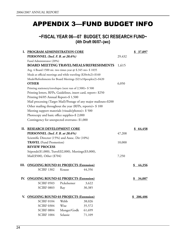# APPENDIX 3—FUND BUDGET INFO

**~FISCAL YEAR 06—07 BUDGET, SCI RESEARCH FUND~ {4th Draft 06/07--jwc}**

|      | I. PROGRAM ADMINISTRATION CORE                                      |             |                                                                   |        | \$ 37,097     |
|------|---------------------------------------------------------------------|-------------|-------------------------------------------------------------------|--------|---------------|
|      | PERSONNEL (Incl. F. B. at 28.6%)<br>29,432                          |             |                                                                   |        |               |
|      | Fund Administrator (20%)                                            |             |                                                                   |        |               |
|      | <b>BOARD MEETING TRAVEL/MEALS/REFRESHMENTS</b>                      |             |                                                                   |        |               |
|      | Avg. 4 Board 1500 mi. two times year @ \$.345 mi= \$ 1035           |             |                                                                   |        |               |
|      | Meals at official meetings and while traveling $(\$20x4x2) = \$160$ |             |                                                                   |        |               |
|      | Meals/Refreshments for Board Meetings (\$21x10peoplex2)=\$420       |             |                                                                   |        |               |
|      | <b>OTHER</b>                                                        |             |                                                                   |        |               |
|      | Printing stationery/envelopes (next run of 2,500)= \$ 500           |             |                                                                   |        |               |
|      | Printing letters, RFPs, Guidelines, insert card, report= \$250      |             |                                                                   |        |               |
|      | Printing 04/05 Annual Report=\$ 1,500                               |             |                                                                   |        |               |
|      |                                                                     |             | Mail processing (Target Mail)/Postage of any major mailouts=\$200 |        |               |
|      | Other mailing throughout the year (RFPs, reports)= \$100            |             |                                                                   |        |               |
|      | Meeting support materials (visuals/photos)= \$500                   |             |                                                                   |        |               |
|      | Photocopy and basic office supplies=\$ 2,000                        |             |                                                                   |        |               |
|      | Contingency for unexpected overruns= \$1,000                        |             |                                                                   |        |               |
|      |                                                                     |             |                                                                   |        |               |
| П.   | <b>RESEARCH DEVELOPMENT CORE</b>                                    |             |                                                                   | 47,208 | \$64,458      |
|      | PERSONNEL (Incl. F. B. at 28.6%)                                    |             |                                                                   |        |               |
|      | Scientific Director (15%) and Assoc. Dir (10%)                      |             |                                                                   |        |               |
|      | <b>TRAVEL</b> (Fund Promotion)                                      |             |                                                                   |        |               |
|      | <b>REVIEW PROCESS</b>                                               |             |                                                                   |        |               |
|      | Stipends(\$1,000), Travel(\$2,000), Meetings(\$3,000),              | 7,250       |                                                                   |        |               |
|      | Mail(\$500), Other (\$704)                                          |             |                                                                   |        |               |
| III. | <b>ONGOING ROUND 01 PROJECTS (Extension)</b>                        |             |                                                                   |        | 44,356<br>\$  |
|      | <b>SCIRF 1302</b>                                                   | Krause      | 44,356                                                            |        |               |
|      |                                                                     |             |                                                                   |        |               |
| IV.  | <b>ONGOING ROUND 02 PROJECTS (Extension)</b>                        |             |                                                                   |        | <u>34,007</u> |
|      | <b>SCIRF 0503</b>                                                   | Pickelsemer | 3,622                                                             |        |               |
|      | <b>SCIRF 0803</b>                                                   | Ray         | 30,385                                                            |        |               |
|      |                                                                     |             |                                                                   |        |               |
| V.   | <b>ONGOING ROUND 03 PROJECTS (Extension)</b>                        |             |                                                                   |        | 206,406       |
|      | <b>SCIRF 0104</b>                                                   | Webb        | 38,026                                                            |        |               |
|      | <b>SCIRF 0304</b>                                                   | Wise        | 35,572                                                            |        |               |
|      | <b>SCIRF 0804</b>                                                   | Monger/Godk | 61,699                                                            |        |               |
|      | <b>SCIRF 1004</b>                                                   | Selassie    | 71,109                                                            |        |               |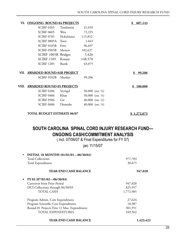| VI. | <b>ONGOING ROUND 04 PROJECTS</b>   |           |                              | 607,143<br>\$ |
|-----|------------------------------------|-----------|------------------------------|---------------|
|     | <b>SCIRF 0205</b>                  | Tomlinson | 21,010                       |               |
|     | <b>SCIRF 0605</b>                  | Wen       | 72,235                       |               |
|     | SCIRF 0705 Pickelsimer             |           | 115,852                      |               |
|     | SCIRF 0805A                        | Yuen      | 1,643                        |               |
|     | <b>SCIRF 0105B</b>                 | Fritz     | 96,697                       |               |
|     | SCIRF 0505B                        | Metters   | 102,627                      |               |
|     | SCIRF 1005B Bridges                |           | 5,426                        |               |
|     | <b>SCIRF 1105</b>                  | Krause    | 148,578                      |               |
|     | <b>SCIRF 1205</b>                  | Banik     | 43,075                       |               |
|     |                                    |           |                              |               |
|     | VII. AWARDED ROUND 02B PROJECT     |           |                              | 99,206<br>\$  |
|     | SCIRF 0102B                        | Murday    | 99,206                       |               |
|     |                                    |           |                              |               |
|     | VIII. AWARDED ROUND 05 PROJECTS    |           |                              | \$180,000     |
|     | <b>SCIRF 0206</b>                  | Vertigel  | 50,000 (est. $\frac{1}{2}$ ) |               |
|     | <b>SCIRF 0406</b>                  | Khan      | 50,000 (est. $\frac{1}{2}$ ) |               |
|     | <b>SCIRF 0506</b>                  | Gir       | 40,000 (est. $\frac{1}{2}$ ) |               |
|     | <b>SCIRF 0606</b>                  | Dismuke   | 40,000 (est. $\frac{1}{2}$ ) |               |
|     | <b>TOTAL BUDGET ESTIMATE 06/07</b> |           |                              | 1,272,673     |
|     |                                    |           |                              |               |
|     |                                    |           |                              |               |

# **SOUTH CAROLINA SPINAL CORD INJURY RESEARCH FUND— ONGOING CASH/COMMITMENT ANALYSIS**

( incl. 07/06/07 & Final Expenditures for FY 07)

jwc 11/15/07

| INITIAL 18 MONTHS (01/01/01-06/30/02)<br>$\bullet$<br><b>Total Collections</b> | 977,703   |
|--------------------------------------------------------------------------------|-----------|
| Total Expenditures                                                             | 30,675    |
| YEAR-END CASH BALANCE                                                          | 947,028   |
| • FY 03 $(07/01/02 - 06/30/03)$                                                |           |
| Carryover from Prior Period                                                    | 947,028   |
| DUI Collections through 06/30/03                                               | 825,957   |
| <b>TOTAL CASH</b>                                                              | 1,772,985 |
| Program Admin. Core Expenditures                                               | 27,624    |
| Program Scientific Core Expenditures                                           | 18,987    |
| Round 01 Projects First 12 Mos. Expenditures                                   | 301,951   |
| <b>TOTAL EXPENDITURES</b>                                                      | 349,562   |
| YEAR-END CASH BALANCE                                                          | 1,423,423 |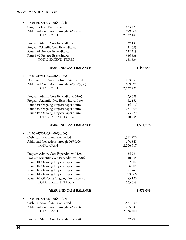| FY 04 (07/01/03-06/30/04)                                      |                      |
|----------------------------------------------------------------|----------------------|
| Carryover from Prior Period                                    | 1,423,423            |
| Additional Collections through 06/30/04                        | 699,064              |
| <b>TOTAL CASH</b>                                              | 2,122,487            |
| Program Admin. Core Expenditures                               | 32,184               |
| Program Scientific Core Expenditures                           | 21,093               |
| Round 01 Projects Expenditures                                 | 228,719              |
| Round 02 Projects Expenditures                                 | 386,838              |
| TOTAL EXPENDITURES                                             | 668,834              |
| YEAR-END CASH BALANCE                                          | 1,453,653            |
| FY 05 (07/01/04-06/30/05)<br>$\bullet$                         |                      |
| Uncommitted Carryover from Prior Period                        | 1,453,653            |
| Additional Collections through 06/30/05(est)                   | 669,078              |
| <b>TOTAL CASH</b>                                              | 2,122,731            |
| Program Admin. Core Expenditures 04/05                         | 33,058               |
| Program Scientific Core Expenditures 04/05                     | 62,152               |
| Round 01 Ongoing Projects Expenditures                         | 54,716               |
| Round 02 Ongoing Projects Expenditures                         | 267,099              |
| Round 03 Ongoing Projects Expenditures                         | 193,929              |
| <b>TOTAL EXPENDITURES</b>                                      | 610,955              |
| YEAR-END CASH BALANCE                                          | 1,511,776            |
|                                                                |                      |
| $\bullet$                                                      |                      |
| FY 06 (07/01/05-06/30/06)                                      |                      |
| Cash Carryover from Prior Period                               | 1,511,776            |
| Additional Collections through 06/30/06<br><b>TOTAL CASH</b>   | 694,841<br>2,206,617 |
|                                                                |                      |
| Program Admin. Core Expenditures 05/06                         | 34,981               |
| Program Scientific Core Expenditures 05/06                     | 40,834               |
| Round 01 Ongoing Projects Expenditures                         | 52,907               |
| Round 02 Ongoing Projects Expenditures                         | 156,605              |
| Round 03 Ongoing Projects Expenditures                         | 191,245              |
| Round 04 Ongoing Projects Expenditures                         | 73,866               |
| Round 04 Off-Cycle Ongoing Proj. Expend.<br>TOTAL EXPENDITURES | 85,120<br>635,558    |
| YEAR-END CASH BALANCE                                          | 1,571,059            |
|                                                                |                      |
| FY 07 (07/01/06-06/30/07)<br>$\bullet$                         |                      |
| Cash Carryover from Prior Period                               | 1,571,059            |
| Additional Collections through 06/30/06(est)                   | 765,341              |
| <b>TOTAL CASH</b>                                              | 2,336,400            |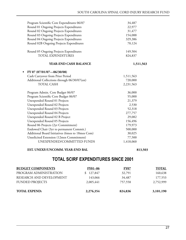| Program Scientific Core Expenditures 06/07       | 34,487    |
|--------------------------------------------------|-----------|
| Round 01 Ongoing Projects Expenditures           | 22,977    |
| Round 02 Ongoing Projects Expenditures           | 31,477    |
| Round 03 Ongoing Projects Expenditures           | 154,088   |
| Round 04 Ongoing Projects Expenditures           | 329,386   |
| Round 02B Ongoing Projects Expenditures          | 70,124    |
| Round 05 Ongoing Projects Expenditures           | 149,504   |
| TOTAL EXPENDITURES                               | 824,837   |
| YEAR-END CASH BALANCE                            | 1,511,563 |
| FY 07 (07/01/07-06/30/08)                        |           |
| Cash Carryover from Prior Period                 | 1,511,563 |
| Additional Collections through 06/30/07(est)     | 720,000   |
| <b>TOTAL CASH</b>                                | 2,231,563 |
| Program Admin. Core Budget 06/07                 | 36,000    |
| Program Scientific Core Budget 06/07             | 55,000    |
| Unexpended Round 01 Projects                     | 21,379    |
| Unexpended Round 02 Projects                     | 2,530     |
| Unexpended Round 03 Projects                     | 52,318    |
| Unexpended Round 04 Projects                     | 277,757   |
| Unexpended Round 02 B Project                    | 29,082    |
| Unexpended Round 05 Projects                     | 156,496   |
| Round 06 Projects (2yr Commitment)               | 179,973   |
| Endowed Chair (3yr to permanent Commit.)         | 500,000   |
| Additional Board Initiatives (6mos to 18mos Com) | 30,025    |
| Unsolicited Extension (12mos Commitment)         | 77,500    |
| UNEXPENDED/COMMITTED FUNDS                       | 1,418,060 |

#### **EST. UNEXP./UNCOMM. YEAR-END BAL 813,503**

# **TOTAL SCIRF EXPENDITURES SINCE 2001**

| <b>BUDGET COMPONENTS</b> | <b>FY01-06</b> | <b>FY07</b> | <b>TOTAL</b> |
|--------------------------|----------------|-------------|--------------|
| PROGRAM ADMINISTRATION   | 127,847        | 32,791      | 160,638      |
| RESEARCH AND DEVELOPMENT | 143,066        | 34,487      | 177,553      |
| <b>FUNDED PROJECTS</b>   | 2,005,441      | 757,558     | 2,752,999    |
|                          |                |             |              |
| <b>TOTAL EXPEND:</b>     | 2,276,354      | 824,836     | 3,101,190    |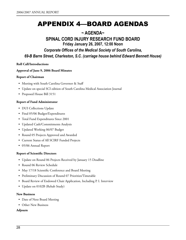# APPENDIX 4—BOARD AGENDAS

# **~ AGENDA~**

# **SPINAL CORD INJURY RESEARCH FUND BOARD**

**Friday January 26, 2007, 12:00 Noon**

*Corporate Offices of the Medical Society of South Carolina,* 

*69-B Barre Street, Charleston, S.C. (carriage house behind Edward Bennett House)*

#### **Roll Call/Introductions**

#### **Approval of June 9, 2006 Board Minutes**

#### **Report of Chairman**

- Meeting with South Carolina Governor & Staff
- Update on special SCI edition of South Carolina Medical Association Journal
- Proposed House Bill 3151

#### **Report of Fund Administrator**

- DUI Collections Update
- Final 05/06 Budget/Expenditures
- Total Fund Expenditures Since 2001
- • Updated Cash/Commitments Analysis
- • Updated Working 06/07 Budget
- • Round 05 Projects Approved and Awarded
- • Current Status of All SCIRF Funded Projects
- • 05/06 Annual Report

#### **Report of Scientific Directors**

- Update on Round 06 Projects Received by January 15 Deadline
- Round 06 Review Schedule
- May 17/18 Scientific Conference and Board Meeting
- • Preliminary Discussion of Round 07 Priorities/Timetable
- Board Review of Endowed Chair Application, Including P. I. Interview
- • Update on 0102B (Rehab Study)

#### **New Business**

- Date of Next Board Meeting
- Other New Business

#### **Adjourn**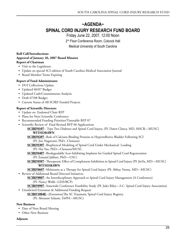# **~AGENDA~ SPINAL CORD INJURY RESEARCH FUND BOARD**

Friday June 22, 2007, 12:00 Noon

2<sup>nd</sup> Floor Conference Room, Colcock Hall

Medical University of South Carolina

#### **Roll Call/Introductions Approval of January 26, 2007 Board Minutes Report of Chairman**

- • Visit to the Legislature
- Update on special SCI edition of South Carolina Medical Association Journal
- • Board Member Terms Expiring

#### **Report of Fund Administrator**

- DUI Collections Update
- Updated 06/07 Budget
- • Updated Cash/Commitments Analysis
- Draft 07/08 Budget
- • Current Status of All SCIRF Funded Projects

#### **Report of Scientific Directors**

- • Update on Endowed Chair RFP
- • Plans for Next Scientific Conference
- Recommended Funding Priorities/Timetable RFP 07
- • Scientific Review of Final Revised RFP 06 Applications
	- **SCIRF0107**-- Type Two Diabetes and Spinal Cord Injury, (PI: Dawn Clancy, MD, MSCR—MUSC) **WITHDRAWN**
	- **SCIRF0207**--Role of Calcium-Binding Proteins in Hyperreflexive Bladder Following SCI (PI: Jiro Nagatomi, PhD., Clemson)
	- **SCIRF0307**--Biophysical Modeling of Spinal Cord Under Mechanical Loading (PI: Hai Yao, PhD—Clemson/MUSC
	- **SCIRF0407**--Biodegradable Scar-Inhibiting Implants for Guided Spinal Cord Regeneration (PI: Esmaiel Jabbari, PhD—USC)
	- **SCIRF0507**--Therapeutic Effect of Complement Inhibition in Spinal Cord Injury (PI: JinYu, MD—MUSC) **WITHDRAWN**
	- **SCIRF0607**--Melatonin as a Therapy for Spinal Cord Injury (PI: Abhay Varma. MD—MUSC)
- • Review of Additional Board Directed Initiatives
	- **SCIRF0807**--An Interdisciplinary Approach to Spinal Cord Injury Management {A Conference} (PI: Nancy Wolfe--GHS/RCP)
- **SCIRF0907**--Statewide Conference Feasibility Study (PI: Jules Riley—S.C. Spinal Cord Injury Association) • Unsolicited Extension & Additional Funding Request
	- **SCIRF1004E**--{Extension}The SC Traumatic Spinal Cord Injury Registry (PI: Abensaw Selassie, DrPH—MUSC)

#### **New Business**

- Date of Next Board Meeting
- Other New Business

#### **Adjourn**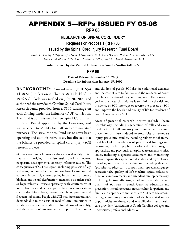# APPENDIX 5—RFPs ISSUED FY 05-06 **RFP 06**

# **RESEARCH ON SPINAL CORD INJURY**

**Request For Proposals (RFP) 06** 

**Issued by the Spinal Cord Injury Research Fund Board**

*Brian G. Cuddy, MD(Chair), David A Griesemer, MD, Terry Peacock, Phanor L. Perot, MD, PhD, David L. Shallcross, MD, John H. Stevens, MEd, and W. Daniel Westerkam, MD*

**Administered by the Medical University of South Carolina (MUSC)**

#### **RFP 06**

**Date of Release: November 15, 2005 Deadline for Submission: January 15, 2006**

**Background:** Amendment (Bill S54 44-38-510) to Section 2, Chapter 38, Title 44 of the 1976 S.C. Code was ratified on July 20, 2000 and authorized the new South Carolina Spinal Cord Injury Research Fund provided from a \$100 surcharge on each Driving Under the Influence (DUI) conviction. The Fund is administered by new Spinal Cord Injury Research Board appointed by the Governor, and was attached to MUSC for staff and administrative purposes. The law authorizes Fund use to cover basic operating and administrative costs, but directed that the balance be provided for spinal cord injury (SCI) research projects.

SCI is a serious and seldom reversible cause of disability. Often traumatic in origin, it may also result from inflammatory, neoplastic, developmental, or rarely infectious causes. The consequences of SCI are legion, including paralysis of legs and arms, even muscles of respiration; loss of sensation and autonomic control; chronic pain; impairment of bowel, bladder, and sexual dysfunction; metabolic disorders such as hypercalcemia; muscle spasticity with contractures of joints, fractures, and heterotopic ossification; complications such as decubitus ulcers, uncontrolled blood pressure, and frequent infections. People with SCI may face extraordinary demands due to the costs of medical care, limitations in rehabilitation resources after profound loss of mobility, and the absence of environmental supports. The spouses

and children of people SCI also face additional demands and the cost of care to families and the residents of South Carolina are extraordinary and ongoing. The long-term goal of this research initiative is to minimize the risk and incidence of SCI, interrupt or reverse the process of SCI, and improve the health and quality of life for residents of South Carolina with SCI.

Areas of potential research interest include: basic neurobiology, including regeneration of cells and axons, modulation of inflammatory and destructive processes, prevention of injury-induced neurotoxicity or secondary injury; pre-clinical studies, including refinement of animal models of SCI; translation of pre-clinical findings into treatment, including pharmacological trials, surgical approaches, and previously unexplored treatments; clinical issues, including diagnostic assessment and monitoring, relationship to other spinal cord disorders and psychological disorders; outcomes of rehabilitation, including therapies (prosthetic, physical, occupational, speech/language, recreational), quality of life (technological solutions, functional improvement), and attendant care; epidemiology, including factors affecting incidence, availability and quality of SCI care in South Carolina; education and prevention, including education curriculum for patients and families in appropriate and adequate SCI care (classroom, career), community (prevention of alcohol-related injury, opportunities for therapy and rehabilitation), and health care providers (curriculum at South Carolina colleges and universities, professional education).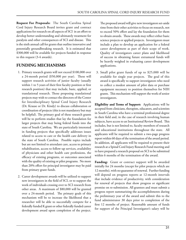**Request For Proposals:** The South Carolina Spinal Cord Injury Research Board invites grant and contract applications for research on all aspects of SCI in an effort to develop better understanding and ultimately treatment for paralysis and other consequences of SCI and disease. This is the sixth annual call for grants that outline innovative and potentially groundbreaking research. It is estimated that \$300,000 will be available for projects funded in response to this request (3-4 awards).

### **Funding Mechanisms**

- 1. Primary research grants will not exceed \$100,000 over a 24-month period (\$50,000 per year). These will support research activities of junior faculty (usually within 1 to 5 years of their first faculty position or first research position) that may include, basic, applied, or translational research. Those proposing translational projects may wish to contact the directors of the Center for Interdisciplinary Spinal Cord Injury Research (Dr. Krause or Dr. Kindy) to discuss collaboration or coordination of projects (this is not mandatory but may be helpful). The primary goal of these research grants will be to perform studies that lay the foundation for larger projects that may being federal funds into the state of South Carolina. We are particularly interested in funding projects that specifically addresses issues related to access to care or the health care delivery in the state of South Carolina. Possible topics include but are not limited to attendant care, access to primary rehabilitation, access to follow-up services, availability of physicians and other health care professions, the efficacy of existing programs, or outcomes associated with the quality of existing or pilot programs. No more than 20% effort for principal investigator may be paid from primary grant funds.
- 2. Career development awards will be utilized to support new investigators in the field of SCI, or to support the work of individuals crossing over to SCI research from other areas. A maximum of \$80,000 will be granted over a 24-month period. The primary goals of this mechanism will be to increase the likelihood that a researcher will be able to successfully compete for a federally funded K grant or other federally funded career development award upon completion of the project.

The proposed award will give new investigators set-aside time from their other activities to focus on research, not to exceed 50% effort and lay the foundation for them to obtain awards. These awards may reflect either basic science projects or applied projects. Investigators must include a plan to develop an application for a federal career development as part of their scope of work. Quality of investigators career plans and likelihood of success in obtaining future extramural funds will be heavily weighed in evaluating career development applications.

3. Small pilot grant funds of up to \$25,000 will be available for single year projects. The goal of this award is specifically to support investigators who need to collect a modest amount of pilot data or purchase equipment necessary to position themselves for NIH grants. This mechanism will support the work of senior investigators.

**Eligibility and Terms of Support:** Applications will be accepted from clinicians, therapists, educators, and scientists in South Carolina who have a terminal professional degree in their field and, in the case of research involving human subjects, have access to an Institutional Review Board. This includes, but is not limited to, faculty members of research and educational institutions throughout the state. All applicants will be required to submit a two-page progress report within 60 days of the termination of the award period. In addition, all applicants will be required to present their research at a Spinal Cord Injury Research Fund meeting and to have prepared a research proposal on SCI to be submitted within 6 months of the termination of the award.

**Funding:** Grant or contract support will be awarded initially for 24 months (except for pilot projects which are 12 months), with no guarantee of renewal. Further funding will depend on progress reports at 12-month intervals that include evidence of productivity, with consideration for renewal of projects that show progress or significant promise on re-submission. All grantees and must submit a progress report summarizing the accomplishments during the preliminary year of the award and submit this to the fund administrator 30 days prior to completion of the first 12 months of project. Reasonable amount of funds for support of the Principal Investigator's salary will be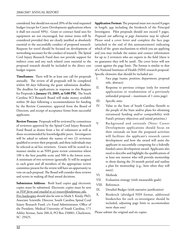considered, but should not exceed 20% of the total requested budget (except for Career Development applications where it shall not exceed 50%). Grant or contract fund uses for equipment are not encouraged, but minor items will be considered provided they are clearly justified as absolutely essential to the successfully conduct of proposed research. Requests for travel should be focused on development of networking necessary for the conduct of research. The Spinal Cord Injury Research Fund does not provide support for indirect costs and any such related costs essential to the proposed research should be included in the direct cost budget request.

**Timeframes:** There will be at least one call for proposals annually. The review of all proposals will be completed within 60 days following the grant submission deadline. The deadline for applications in response to this Request for Proposals is **January 15, 2005, at 5:00 PM.** The South Carolina SCI Research Board will make money available within 30 days following a recommendation for funding by the Review Committee, approval from the Board of Directors, and receipt of acceptance forms from successful applicants.

**Review Process:** Proposals will be reviewed by committees of reviewers approved by the Spinal Cord Injury Research Fund Board as drawn from a list of volunteers as well as those recommended by knowledgeable peers. Investigators will be asked to submit the names of two (2) reviewers qualified to review their proposals, and these individuals may be selected as ad hoc reviewers. Grants will be scored in a manner similar to an NIH grant review committee where 100 is the best possible score and 500 is the lowest score. A minimum of two reviewers (generally 3) will be assigned to each grant and all members of the appropriate review committee present for the review will have an opportunity to vote on each proposal. The Board will consider these reviews and scores in making all final award decisions.

Submission Address: Both hard copies and electronic copies must be submitted. Electronic copies must be sent *in PDF form and emailed to sci-researchfund@musc.edu.* Five hardcopies should also be sent to Mark S. Kindy, PhD, Associate Scientific Director, South Carolina Spinal Cord Injury Research Fund, c/o Fund Administrator, Office of the President, Medical University of South Carolina, 171 Ashley Avenue, Suite 200-A, PO Box 250001, Charleston, SC 29425.

**Application Format:** The proposal must not exceed 8 pages in length, not including the biosketch of the Principal Investigator. Pilot proposals should not exceed 5 pages. *Proposals not adhering to page limitation may be refused.*  Please send a cover letter and complete the face page (attached to the end of this announcement) indicating which of the grant mechanisms to which you are applying and you may include the names and contact information for up to 2 reviewers who are experts in the field (there is no guarantee they will be used). The cover letter will not count against the page limit. The format is similar to that of a National Institutes of Health (NIH) research proposal. Specific elements that should be included are:

- I. Face page (name, position, department, proposal title, abstract)
- II. Response to previous critique (only for renewal applications or resubmission of a previously unfunded proposal – maximum of 1 extra page)
- III. Specific aims
- IV. Value to the State of South Carolina (benefit to the people of the State and/or plans for obtaining extramural funding and/or compatibility with Fund's primary objectives and initial priorities.)
- V. Background and rationale (Note: Career Development applications should focus on their rationale on how the proposed activities will facilitate the applicant's research career development and how the award will assist the applicant in successfully competing for a federally funded career development award. Applicants also need to describe and highlight the qualifications of at least one mentor who will provide mentorship to them during the 24-month period and outline a plan for mentorship (e.g., how often they will meet).
- VI. Methods
- VII. Evaluation strategy (with measurable goals)
- VIII. References
- IX. Detailed Budget (with narrative justification)
- X. Biosketch (abridged NIH format, additional biosketches for each co-investigator should be included, adjusting page limit to accommodate more than one)

Please submit the original and six copies.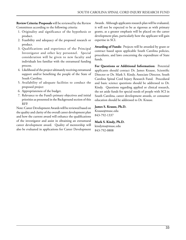**Review Criteria: Proposals** will be reviewed by the Review Committees according to the following criteria:

- 1. Originality and significance of the hypothesis or product.
- 2. Feasibility and adequacy of the proposed research or product.
- 3. Qualifications and experience of the Principal Investigator and other key personnel. Special consideration will be given to new faculty and individuals less familiar with the extramural funding process.
- 4. Likelihood of the project ultimately receiving extramural support and/or benefiting the people of the State of South Carolina.
- 5. Availability of adequate facilities to conduct the proposed project
- 6. Appropriateness of the budget.
- 7. Relevance to the Fund's primary objectives and initial priorities as presented in the Background section of this RFP.

Note: Career Development Awards will be reviewed based on the quality and clarity of the overall career development plan and how the current award will enhance the qualifications of the investigator and assist in obtaining an extramural career development award. Quality of mentorship will also be evaluated in applications for Career Development Awards. Although applicants research plan will be evaluated, it will not be expected to be as rigorous as with primary grants, as a greater emphasis will be placed on the career development plan, particularly how the applicant will gain expertise in SCI.

**Awarding of Funds:** Projects will be awarded by grant or contract based upon applicable South Carolina policies, procedures, and laws concerning the expenditure of State funds.

**For Questions or Additional Information:** Potential applicants should contact Dr. James Krause, Scientific Director or Dr. Mark S. Kindy, Associate Director, South Carolina Spinal Cord Injury Research Fund. Procedural and basic science questions should be addressed to Dr. Kindy. Questions regarding applied or clinical research, the set aside funds for special needs of people with SCI in South Carolina, career development awards, or consumer education should be addressed to Dr. Krause.

#### **James S. Krause, Ph.D.**

Krause@musc.edu 843-792-1337

#### **Mark S. Kindy, Ph.D.**

kindyms@musc.edu 843-792-0808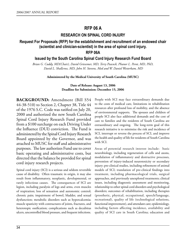# **RFP 06 A**

## **RESEARCH ON SPINAL CORD INJURY**

# **Request For Proposals (RFP) for the establishment and recruitment of an endowed chair (scientist and clinician-scientist) in the area of spinal cord injury.**

### **RFP 06A**

### **Issued by the South Carolina Spinal Cord Injury Research Fund Board**

*Brian G. Cuddy, MD(Chair), David Griesemer, MD, Terry Peacock, Phanor L. Perot, MD, PhD, David L. Shallcross, MD, John H. Stevens, Med and W. Daniel Westerkam, MD*

**Administered by the Medical University of South Carolina (MUSC)**

#### **Date of Release: August 13, 2006 Deadline for Submission: December 15, 2006**

**BACKGROUND:** Amendment (Bill S54) 44-38-510) to Section 2, Chapter 38, Title 44 of the 1976 S.C. Code was ratified on July 20, 2000 and authorized the new South Carolina Spinal Cord Injury Research Fund provided from a \$100 surcharge on each Driving Under the Influence (DUI) conviction. The Fund is administered by the Spinal Cord Injury Research Board appointed by the Governor, and was attached to MUSC for staff and administrative purposes. The law authorizes Fund use to cover basic operating and administrative costs, but directed that the balance be provided for spinal cord injury research projects.

Spinal cord injury (SCI) is a serious and seldom reversible cause of disability. Often traumatic in origin, it may also result from inflammatory, neoplastic, developmental, or rarely infectious causes. The consequences of SCI are legion, including paralysis of legs and arms, even muscles of respiration; loss of sensation and autonomic control; chronic pain; impairment of bowel, bladder, and sexual dysfunction; metabolic disorders such as hypercalcemia; muscle spasticity with contractures of joints, fractures, and heterotopic ossification; complications such as decubitus ulcers, uncontrolled blood pressure, and frequent infections.

People with SCI may face extraordinary demands due to the costs of medical care, limitations in rehabilitation resources after profound loss of mobility, and the absence of environmental supports. The spouses and children of people SCI also face additional demands and the cost of care to families and the residents of South Carolina are extraordinary and ongoing. The long-term goal of this research initiative is to minimize the risk and incidence of SCI, interrupt or reverse the process of SCI, and improve the health and quality of life for residents of South Carolina with SCI.

Areas of potential research interest include: basic neurobiology, including regeneration of cells and axons, modulation of inflammatory and destructive processes, prevention of injury-induced neurotoxicity or secondary injury; pre-clinical studies, including refinement of animal models of SCI; translation of pre-clinical findings into treatment, including pharmacological trials, surgical approaches, and previously unexplored treatments; clinical issues, including diagnostic assessment and monitoring, relationship to other spinal cord disorders and psychological disorders; outcomes of rehabilitation, including therapies (prosthetic, physical, occupational, speech/language, recreational), quality of life (technological solutions, functional improvement), and attendant care; epidemiology, including factors affecting incidence, availability and quality of SCI care in South Carolina; education and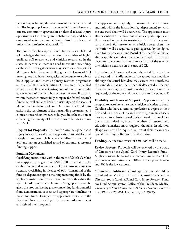prevention, including education curriculum for patients and families in appropriate and adequate SCI care (classroom, career), community (prevention of alcohol-related injury, opportunities for therapy and rehabilitation), and health care providers (curriculum at South Carolina colleges and universities, professional education).

The South Carolina Spinal Cord Injury Research Fund acknowledges the need to increase the number of highly qualified SCI researchers and clinician-researchers in the state. In particular, there is a need to recruit outstanding, established investigators who may serve as a catalyst for SCI research in the state. Building a critical mass of SCI investigators that have the capacity and resources to establish basic, applied and interdisciplinary research programs is an essential step in facilitating SCI research. Qualified scientists and clinician-scientists, not only contribute to the advancement of the field, but increase the overall capacity within the state to successfully compete for federal research funds that will enhance both the visibility and the scope of SCI research in the state of South Carolina. The Fund must assist in the recruitment of the outstanding researchers and clinician-researchers if we are to fully address the mission of enhancing the quality of life of citizens of South Carolina with SCI.

**Request for Proposals:** The South Carolina Spinal Cord Injury Research Board invites applications to establish and recruit an endowed chair who specializes in the area of SCI and has an established record of extramural research funding support.

#### **Funding Mechanism**

Qualifying institutions within the state of South Carolina may apply for a grant of \$500,000 to assist in the establishment and recruitment of a scientist or clinicianscientist specializing in the area of SCI. Transmittal of the funds is dependent upon obtaining matching funds by the applicant institution from external sources other than the Spinal Cord Injury Research Fund. A high priority will be given the proposal having greatest matching funds potential from demonstrated sources and appropriate timelines to match SCI funds. Competitive applicants must attend the Board of Directors meeting in January in order to present and defend their proposals.

The applicant must specify the nature of the institution and unit within the institution (eg, department) to which the endowed chair will be recruited. The application must also describe the qualifications of an acceptable applicant. If an award is made to institution to initiate a search for qualified SCI researcher or clinician-researchers, the institution will be required to gain approval by the Spinal Cord Injury Research Fund Board of the specific individual after a specific candidate has been identified. This step is necessary to ensure that the primary focus of the scientist or clinician-scientist is in the area of SCI.

Institutions will have a twelve month period from the time of the award to identify and recruit an appropriate candidate, although the actual hire date may exceed this timeframe. If a candidate has not been identified/selected at the end of twelve months, an extension with justification must be requested, or the money will revert back to the SCSCRIF.

**Eligibility and Terms of Support:** Applications will be accepted to recruit scientists and clinician-scientists to South Carolina who have a terminal professional degree in their field and, in the case of research involving human subjects, have access to an Institutional Review Board. This includes, but is not limited to, faculty members of research and educational institutions throughout the state. In addition, all applicants will be required to present their research at a Spinal Cord Injury Research Fund meeting.

**Funding:** A one time award of \$500,000 will be made.

**Review Process:** Proposals will be reviewed by the Board of Directors of the Spinal Cord Injury Research Fund . Applications will be scored in a manner similar to an NIH grant review committee where 100 is the best possible score and 500 is the lowest score.

**Submission Address:** Grant applications should be submitted to Mark S. Kindy, PhD, Associate Scientific Director, South Carolina Spinal Cord Injury Research Fund, c/o Fund Administrator, Office of the President, Medical University of South Carolina, 179 Ashley Avenue, Colcock Hall, PO Box 250001, Charleston, SC 29425.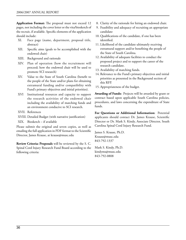**Application Format:** The proposal must not exceed 12 pages, not including the cover letter or the vita/biosketch of the recruit, if available. Specific elements of the application should include:

- XI. Face page (name, department, proposal title, abstract)
- XII. Specific aims (goals to be accomplished with the endowed chair)
- XIII. Background and rationale
- XIV. Plan of operation (how the recruitment will proceed; how the endowed chair will be used to promote SCI research)
- XV. Value to the State of South Carolina (benefit to the people of the State and/or plans for obtaining extramural funding and/or compatibility with Fund's primary objectives and initial priorities).
- XVI Institutional resources and capacity to support the research activities of the endowed chair including the availability of matching funds and an environment conducive to SCI research.
- XVII. References
- XVIII. Detailed Budget (with narrative justification)
- XIX. Biosketch if available

Please submit the original and seven copies, as well as emailing the full application in PDF format to the Scientific Director, James Krause, at krause@musc.edu

**Review Criteria: Proposals** will be reviewed by the S. C. Spinal Cord Injury Research Fund Board according to the following criteria:

- 8. Clarity of the rationale for hiring an endowed chair.
- 9. Feasibility and adequacy of recruiting an appropriate candidate
- 10. Qualifications of the candidate, if one has been identified.
- 11. Likelihood of the candidate ultimately receiving extramural support and/or benefiting the people of the State of South Carolina.
- 12. Availability of adequate facilities to conduct the proposed project and to support the career of the research candidate.
- 13. Availability of matching funds.
- 14. Relevance to the Fund's primary objectives and initial priorities as presented in the Background section of this RFP.
- 15. Appropriateness of the budget.

**Awarding of Funds:** Projects will be awarded by grant or contract based upon applicable South Carolina policies, procedures, and laws concerning the expenditure of State funds.

**For Questions or Additional Information:** Potential applicants should contact Dr. James Krause, Scientific Director or Dr. Mark S. Kindy, Associate Director, South Carolina Spinal Cord Injury Research Fund.

James S. Krause, Ph.D. Krause@musc.edu 843-792-1337

Mark S. Kindy, Ph.D. kindyms@musc.edu 843-792-0808